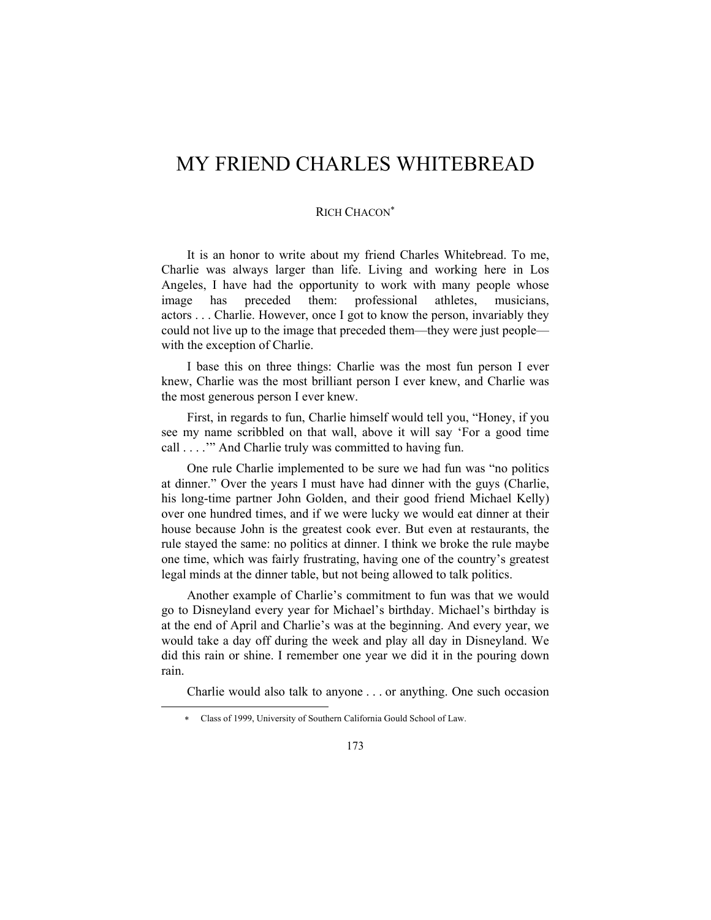# MY FRIEND CHARLES WHITEBREAD

#### RICH CHACON<sup>∗</sup>

It is an honor to write about my friend Charles Whitebread. To me, Charlie was always larger than life. Living and working here in Los Angeles, I have had the opportunity to work with many people whose image has preceded them: professional athletes, musicians, actors . . . Charlie. However, once I got to know the person, invariably they could not live up to the image that preceded them—they were just people with the exception of Charlie.

I base this on three things: Charlie was the most fun person I ever knew, Charlie was the most brilliant person I ever knew, and Charlie was the most generous person I ever knew.

First, in regards to fun, Charlie himself would tell you, "Honey, if you see my name scribbled on that wall, above it will say 'For a good time call . . . .'" And Charlie truly was committed to having fun.

One rule Charlie implemented to be sure we had fun was "no politics at dinner." Over the years I must have had dinner with the guys (Charlie, his long-time partner John Golden, and their good friend Michael Kelly) over one hundred times, and if we were lucky we would eat dinner at their house because John is the greatest cook ever. But even at restaurants, the rule stayed the same: no politics at dinner. I think we broke the rule maybe one time, which was fairly frustrating, having one of the country's greatest legal minds at the dinner table, but not being allowed to talk politics.

Another example of Charlie's commitment to fun was that we would go to Disneyland every year for Michael's birthday. Michael's birthday is at the end of April and Charlie's was at the beginning. And every year, we would take a day off during the week and play all day in Disneyland. We did this rain or shine. I remember one year we did it in the pouring down rain.

Charlie would also talk to anyone . . . or anything. One such occasion

l

<sup>∗</sup> Class of 1999, University of Southern California Gould School of Law.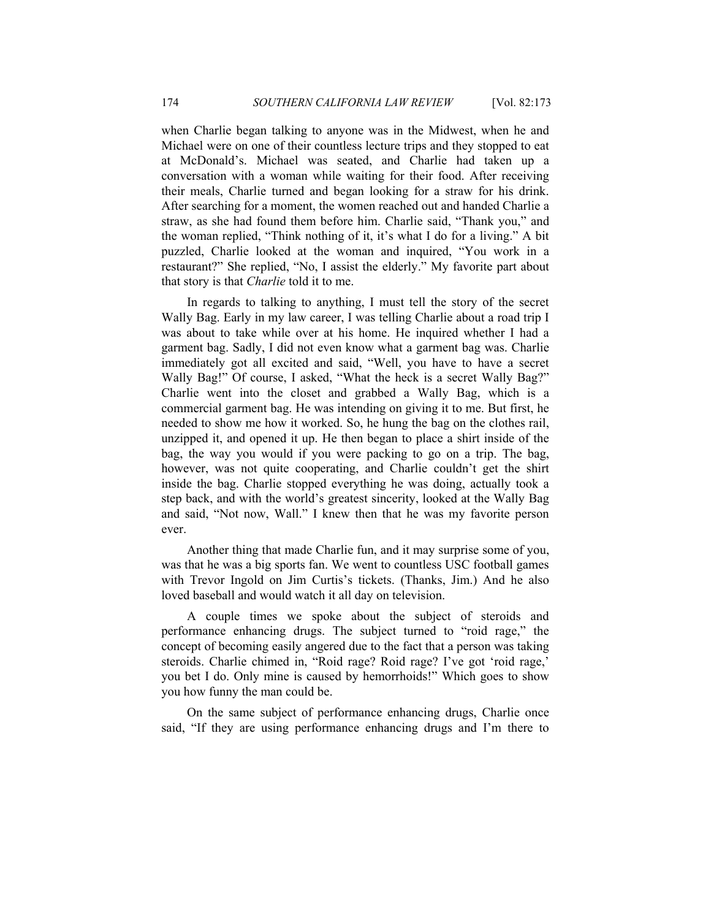when Charlie began talking to anyone was in the Midwest, when he and Michael were on one of their countless lecture trips and they stopped to eat at McDonald's. Michael was seated, and Charlie had taken up a conversation with a woman while waiting for their food. After receiving their meals, Charlie turned and began looking for a straw for his drink. After searching for a moment, the women reached out and handed Charlie a straw, as she had found them before him. Charlie said, "Thank you," and the woman replied, "Think nothing of it, it's what I do for a living." A bit puzzled, Charlie looked at the woman and inquired, "You work in a restaurant?" She replied, "No, I assist the elderly." My favorite part about that story is that *Charlie* told it to me.

In regards to talking to anything, I must tell the story of the secret Wally Bag. Early in my law career, I was telling Charlie about a road trip I was about to take while over at his home. He inquired whether I had a garment bag. Sadly, I did not even know what a garment bag was. Charlie immediately got all excited and said, "Well, you have to have a secret Wally Bag!" Of course, I asked, "What the heck is a secret Wally Bag?" Charlie went into the closet and grabbed a Wally Bag, which is a commercial garment bag. He was intending on giving it to me. But first, he needed to show me how it worked. So, he hung the bag on the clothes rail, unzipped it, and opened it up. He then began to place a shirt inside of the bag, the way you would if you were packing to go on a trip. The bag, however, was not quite cooperating, and Charlie couldn't get the shirt inside the bag. Charlie stopped everything he was doing, actually took a step back, and with the world's greatest sincerity, looked at the Wally Bag and said, "Not now, Wall." I knew then that he was my favorite person ever.

Another thing that made Charlie fun, and it may surprise some of you, was that he was a big sports fan. We went to countless USC football games with Trevor Ingold on Jim Curtis's tickets. (Thanks, Jim.) And he also loved baseball and would watch it all day on television.

A couple times we spoke about the subject of steroids and performance enhancing drugs. The subject turned to "roid rage," the concept of becoming easily angered due to the fact that a person was taking steroids. Charlie chimed in, "Roid rage? Roid rage? I've got 'roid rage,' you bet I do. Only mine is caused by hemorrhoids!" Which goes to show you how funny the man could be.

On the same subject of performance enhancing drugs, Charlie once said, "If they are using performance enhancing drugs and I'm there to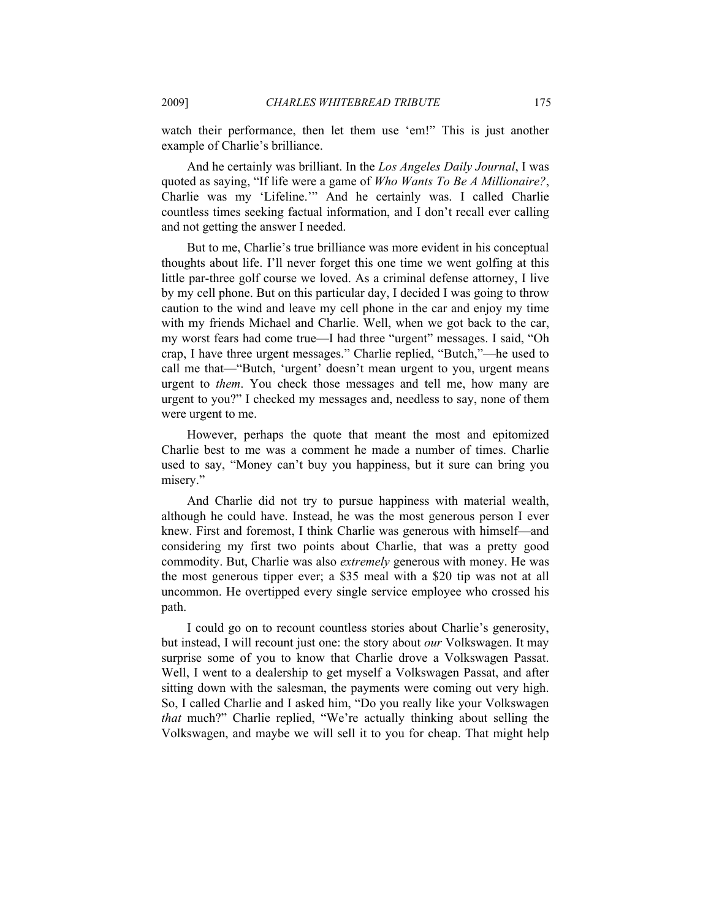watch their performance, then let them use 'em!" This is just another example of Charlie's brilliance.

And he certainly was brilliant. In the *Los Angeles Daily Journal*, I was quoted as saying, "If life were a game of *Who Wants To Be A Millionaire?*, Charlie was my 'Lifeline.'" And he certainly was. I called Charlie countless times seeking factual information, and I don't recall ever calling and not getting the answer I needed.

But to me, Charlie's true brilliance was more evident in his conceptual thoughts about life. I'll never forget this one time we went golfing at this little par-three golf course we loved. As a criminal defense attorney, I live by my cell phone. But on this particular day, I decided I was going to throw caution to the wind and leave my cell phone in the car and enjoy my time with my friends Michael and Charlie. Well, when we got back to the car, my worst fears had come true—I had three "urgent" messages. I said, "Oh crap, I have three urgent messages." Charlie replied, "Butch,"—he used to call me that—"Butch, 'urgent' doesn't mean urgent to you, urgent means urgent to *them*. You check those messages and tell me, how many are urgent to you?" I checked my messages and, needless to say, none of them were urgent to me.

However, perhaps the quote that meant the most and epitomized Charlie best to me was a comment he made a number of times. Charlie used to say, "Money can't buy you happiness, but it sure can bring you misery."

And Charlie did not try to pursue happiness with material wealth, although he could have. Instead, he was the most generous person I ever knew. First and foremost, I think Charlie was generous with himself—and considering my first two points about Charlie, that was a pretty good commodity. But, Charlie was also *extremely* generous with money. He was the most generous tipper ever; a \$35 meal with a \$20 tip was not at all uncommon. He overtipped every single service employee who crossed his path.

I could go on to recount countless stories about Charlie's generosity, but instead, I will recount just one: the story about *our* Volkswagen. It may surprise some of you to know that Charlie drove a Volkswagen Passat. Well, I went to a dealership to get myself a Volkswagen Passat, and after sitting down with the salesman, the payments were coming out very high. So, I called Charlie and I asked him, "Do you really like your Volkswagen *that* much?" Charlie replied, "We're actually thinking about selling the Volkswagen, and maybe we will sell it to you for cheap. That might help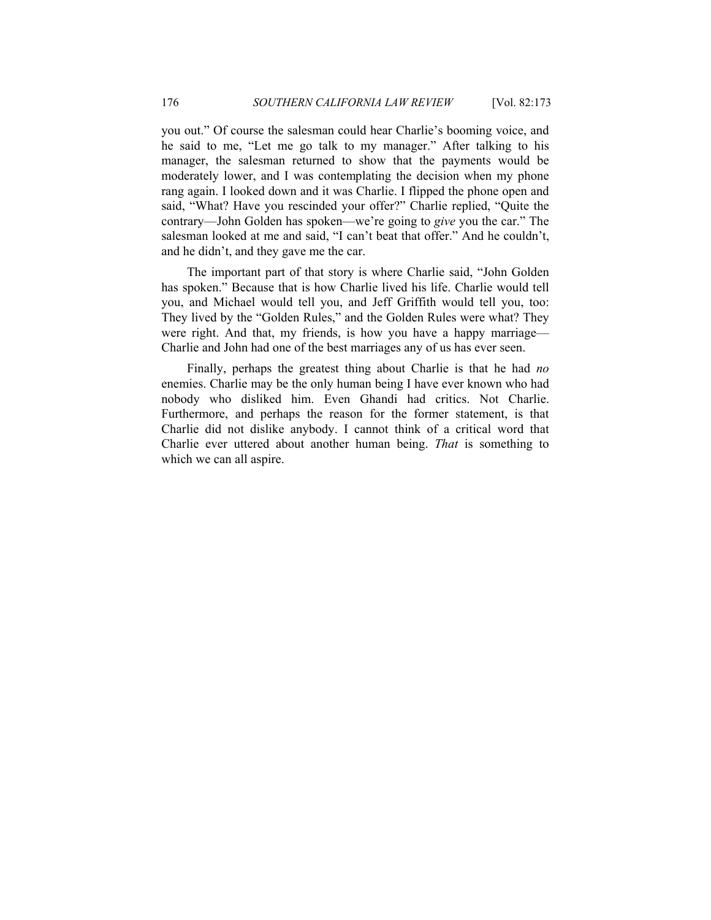you out." Of course the salesman could hear Charlie's booming voice, and he said to me, "Let me go talk to my manager." After talking to his manager, the salesman returned to show that the payments would be moderately lower, and I was contemplating the decision when my phone rang again. I looked down and it was Charlie. I flipped the phone open and said, "What? Have you rescinded your offer?" Charlie replied, "Quite the contrary—John Golden has spoken—we're going to *give* you the car." The salesman looked at me and said, "I can't beat that offer." And he couldn't, and he didn't, and they gave me the car.

The important part of that story is where Charlie said, "John Golden has spoken." Because that is how Charlie lived his life. Charlie would tell you, and Michael would tell you, and Jeff Griffith would tell you, too: They lived by the "Golden Rules," and the Golden Rules were what? They were right. And that, my friends, is how you have a happy marriage— Charlie and John had one of the best marriages any of us has ever seen.

Finally, perhaps the greatest thing about Charlie is that he had *no* enemies. Charlie may be the only human being I have ever known who had nobody who disliked him. Even Ghandi had critics. Not Charlie. Furthermore, and perhaps the reason for the former statement, is that Charlie did not dislike anybody. I cannot think of a critical word that Charlie ever uttered about another human being. *That* is something to which we can all aspire.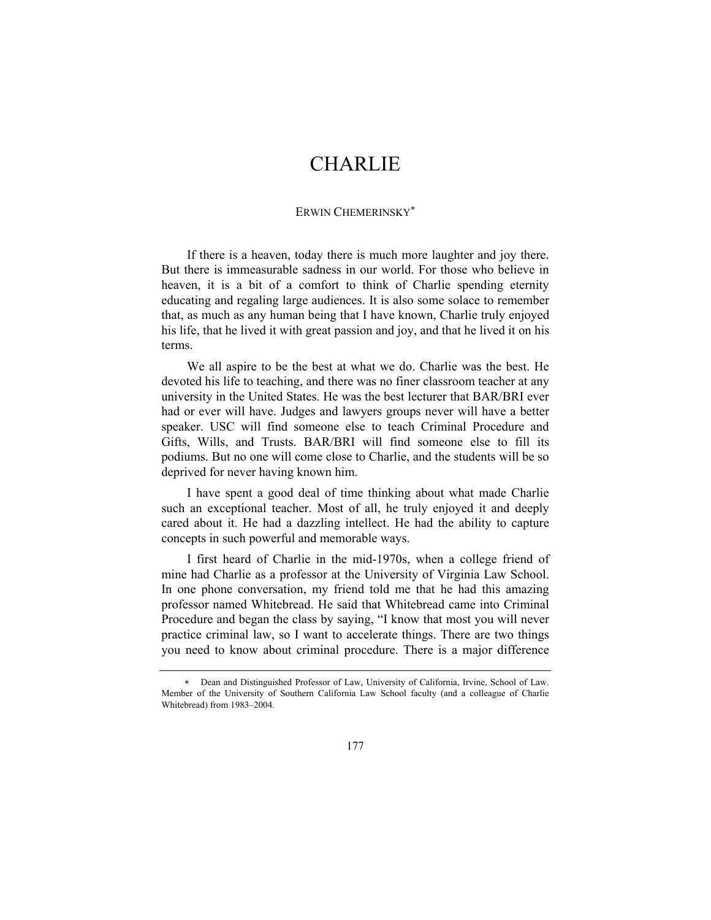### CHARLIE

#### ERWIN CHEMERINSKY<sup>∗</sup>

If there is a heaven, today there is much more laughter and joy there. But there is immeasurable sadness in our world. For those who believe in heaven, it is a bit of a comfort to think of Charlie spending eternity educating and regaling large audiences. It is also some solace to remember that, as much as any human being that I have known, Charlie truly enjoyed his life, that he lived it with great passion and joy, and that he lived it on his terms.

We all aspire to be the best at what we do. Charlie was the best. He devoted his life to teaching, and there was no finer classroom teacher at any university in the United States. He was the best lecturer that BAR/BRI ever had or ever will have. Judges and lawyers groups never will have a better speaker. USC will find someone else to teach Criminal Procedure and Gifts, Wills, and Trusts. BAR/BRI will find someone else to fill its podiums. But no one will come close to Charlie, and the students will be so deprived for never having known him.

I have spent a good deal of time thinking about what made Charlie such an exceptional teacher. Most of all, he truly enjoyed it and deeply cared about it. He had a dazzling intellect. He had the ability to capture concepts in such powerful and memorable ways.

I first heard of Charlie in the mid-1970s, when a college friend of mine had Charlie as a professor at the University of Virginia Law School. In one phone conversation, my friend told me that he had this amazing professor named Whitebread. He said that Whitebread came into Criminal Procedure and began the class by saying, "I know that most you will never practice criminal law, so I want to accelerate things. There are two things you need to know about criminal procedure. There is a major difference

<sup>∗</sup> Dean and Distinguished Professor of Law, University of California, Irvine, School of Law. Member of the University of Southern California Law School faculty (and a colleague of Charlie Whitebread) from 1983–2004.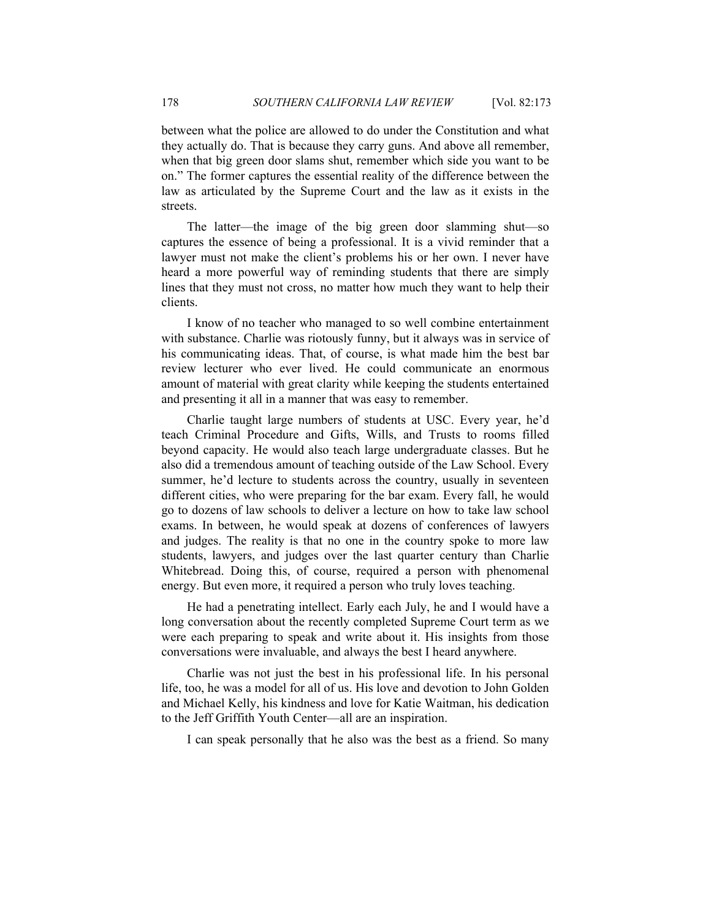between what the police are allowed to do under the Constitution and what they actually do. That is because they carry guns. And above all remember, when that big green door slams shut, remember which side you want to be on." The former captures the essential reality of the difference between the law as articulated by the Supreme Court and the law as it exists in the streets.

The latter—the image of the big green door slamming shut—so captures the essence of being a professional. It is a vivid reminder that a lawyer must not make the client's problems his or her own. I never have heard a more powerful way of reminding students that there are simply lines that they must not cross, no matter how much they want to help their clients.

I know of no teacher who managed to so well combine entertainment with substance. Charlie was riotously funny, but it always was in service of his communicating ideas. That, of course, is what made him the best bar review lecturer who ever lived. He could communicate an enormous amount of material with great clarity while keeping the students entertained and presenting it all in a manner that was easy to remember.

Charlie taught large numbers of students at USC. Every year, he'd teach Criminal Procedure and Gifts, Wills, and Trusts to rooms filled beyond capacity. He would also teach large undergraduate classes. But he also did a tremendous amount of teaching outside of the Law School. Every summer, he'd lecture to students across the country, usually in seventeen different cities, who were preparing for the bar exam. Every fall, he would go to dozens of law schools to deliver a lecture on how to take law school exams. In between, he would speak at dozens of conferences of lawyers and judges. The reality is that no one in the country spoke to more law students, lawyers, and judges over the last quarter century than Charlie Whitebread. Doing this, of course, required a person with phenomenal energy. But even more, it required a person who truly loves teaching.

He had a penetrating intellect. Early each July, he and I would have a long conversation about the recently completed Supreme Court term as we were each preparing to speak and write about it. His insights from those conversations were invaluable, and always the best I heard anywhere.

Charlie was not just the best in his professional life. In his personal life, too, he was a model for all of us. His love and devotion to John Golden and Michael Kelly, his kindness and love for Katie Waitman, his dedication to the Jeff Griffith Youth Center—all are an inspiration.

I can speak personally that he also was the best as a friend. So many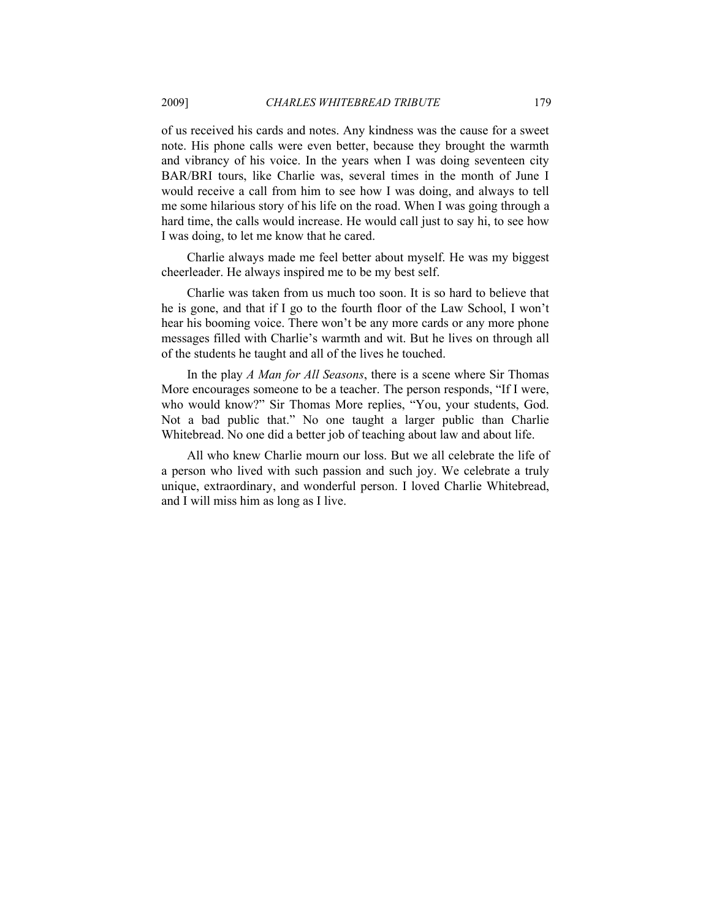of us received his cards and notes. Any kindness was the cause for a sweet note. His phone calls were even better, because they brought the warmth and vibrancy of his voice. In the years when I was doing seventeen city BAR/BRI tours, like Charlie was, several times in the month of June I would receive a call from him to see how I was doing, and always to tell me some hilarious story of his life on the road. When I was going through a hard time, the calls would increase. He would call just to say hi, to see how I was doing, to let me know that he cared.

Charlie always made me feel better about myself. He was my biggest cheerleader. He always inspired me to be my best self.

Charlie was taken from us much too soon. It is so hard to believe that he is gone, and that if I go to the fourth floor of the Law School, I won't hear his booming voice. There won't be any more cards or any more phone messages filled with Charlie's warmth and wit. But he lives on through all of the students he taught and all of the lives he touched.

In the play *A Man for All Seasons*, there is a scene where Sir Thomas More encourages someone to be a teacher. The person responds, "If I were, who would know?" Sir Thomas More replies, "You, your students, God. Not a bad public that." No one taught a larger public than Charlie Whitebread. No one did a better job of teaching about law and about life.

All who knew Charlie mourn our loss. But we all celebrate the life of a person who lived with such passion and such joy. We celebrate a truly unique, extraordinary, and wonderful person. I loved Charlie Whitebread, and I will miss him as long as I live.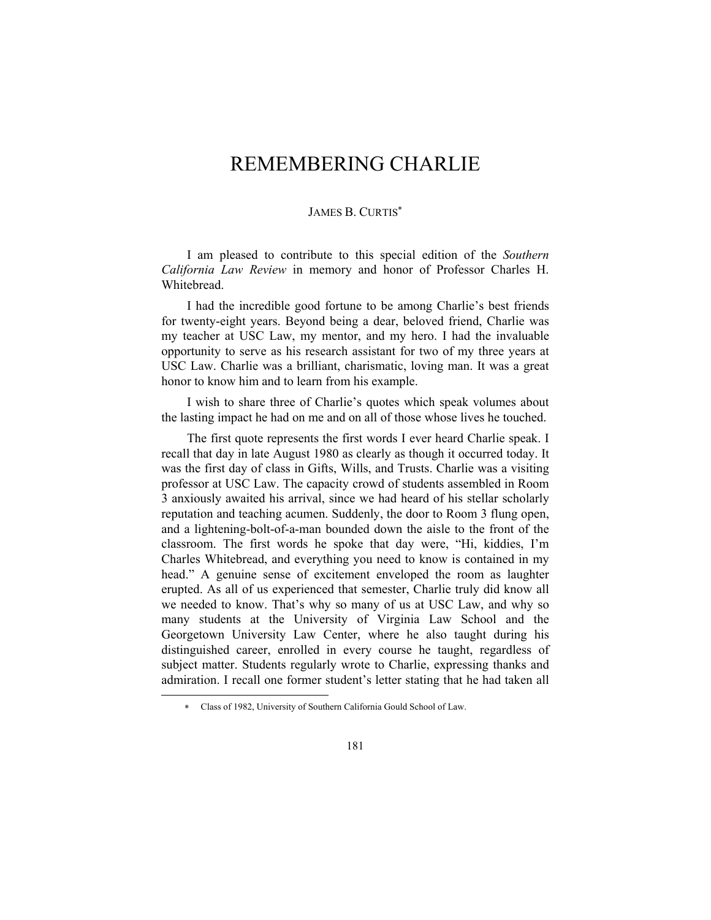# REMEMBERING CHARLIE

#### JAMES B. CURTIS<sup>∗</sup>

I am pleased to contribute to this special edition of the *Southern California Law Review* in memory and honor of Professor Charles H. Whitebread.

I had the incredible good fortune to be among Charlie's best friends for twenty-eight years. Beyond being a dear, beloved friend, Charlie was my teacher at USC Law, my mentor, and my hero. I had the invaluable opportunity to serve as his research assistant for two of my three years at USC Law. Charlie was a brilliant, charismatic, loving man. It was a great honor to know him and to learn from his example.

I wish to share three of Charlie's quotes which speak volumes about the lasting impact he had on me and on all of those whose lives he touched.

The first quote represents the first words I ever heard Charlie speak. I recall that day in late August 1980 as clearly as though it occurred today. It was the first day of class in Gifts, Wills, and Trusts. Charlie was a visiting professor at USC Law. The capacity crowd of students assembled in Room 3 anxiously awaited his arrival, since we had heard of his stellar scholarly reputation and teaching acumen. Suddenly, the door to Room 3 flung open, and a lightening-bolt-of-a-man bounded down the aisle to the front of the classroom. The first words he spoke that day were, "Hi, kiddies, I'm Charles Whitebread, and everything you need to know is contained in my head." A genuine sense of excitement enveloped the room as laughter erupted. As all of us experienced that semester, Charlie truly did know all we needed to know. That's why so many of us at USC Law, and why so many students at the University of Virginia Law School and the Georgetown University Law Center, where he also taught during his distinguished career, enrolled in every course he taught, regardless of subject matter. Students regularly wrote to Charlie, expressing thanks and admiration. I recall one former student's letter stating that he had taken all

l

<sup>∗</sup> Class of 1982, University of Southern California Gould School of Law.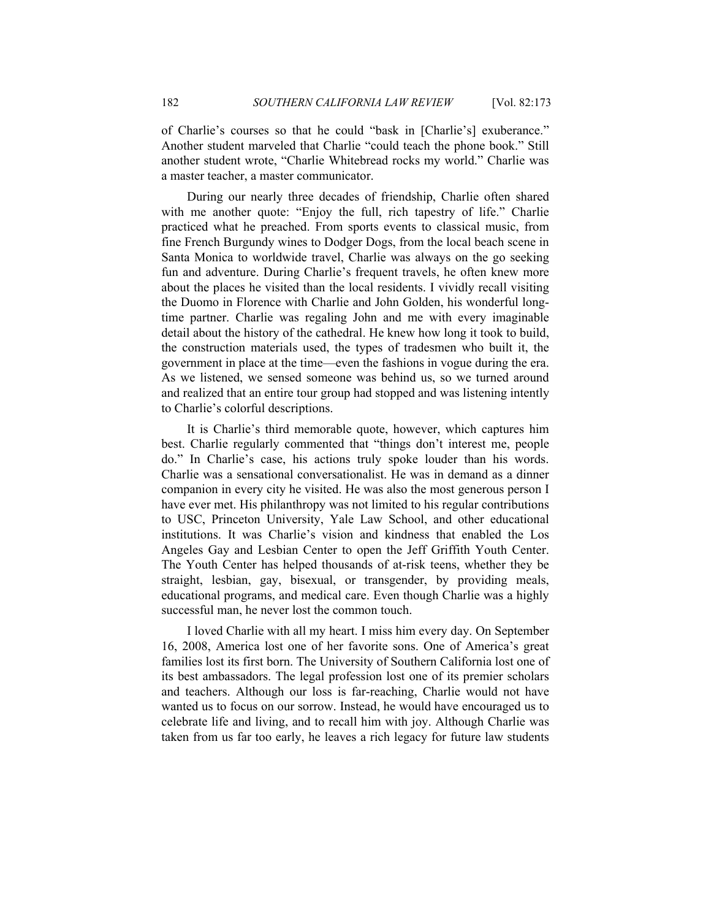of Charlie's courses so that he could "bask in [Charlie's] exuberance." Another student marveled that Charlie "could teach the phone book." Still another student wrote, "Charlie Whitebread rocks my world." Charlie was a master teacher, a master communicator.

During our nearly three decades of friendship, Charlie often shared with me another quote: "Enjoy the full, rich tapestry of life." Charlie practiced what he preached. From sports events to classical music, from fine French Burgundy wines to Dodger Dogs, from the local beach scene in Santa Monica to worldwide travel, Charlie was always on the go seeking fun and adventure. During Charlie's frequent travels, he often knew more about the places he visited than the local residents. I vividly recall visiting the Duomo in Florence with Charlie and John Golden, his wonderful longtime partner. Charlie was regaling John and me with every imaginable detail about the history of the cathedral. He knew how long it took to build, the construction materials used, the types of tradesmen who built it, the government in place at the time—even the fashions in vogue during the era. As we listened, we sensed someone was behind us, so we turned around and realized that an entire tour group had stopped and was listening intently to Charlie's colorful descriptions.

It is Charlie's third memorable quote, however, which captures him best. Charlie regularly commented that "things don't interest me, people do." In Charlie's case, his actions truly spoke louder than his words. Charlie was a sensational conversationalist. He was in demand as a dinner companion in every city he visited. He was also the most generous person I have ever met. His philanthropy was not limited to his regular contributions to USC, Princeton University, Yale Law School, and other educational institutions. It was Charlie's vision and kindness that enabled the Los Angeles Gay and Lesbian Center to open the Jeff Griffith Youth Center. The Youth Center has helped thousands of at-risk teens, whether they be straight, lesbian, gay, bisexual, or transgender, by providing meals, educational programs, and medical care. Even though Charlie was a highly successful man, he never lost the common touch.

I loved Charlie with all my heart. I miss him every day. On September 16, 2008, America lost one of her favorite sons. One of America's great families lost its first born. The University of Southern California lost one of its best ambassadors. The legal profession lost one of its premier scholars and teachers. Although our loss is far-reaching, Charlie would not have wanted us to focus on our sorrow. Instead, he would have encouraged us to celebrate life and living, and to recall him with joy. Although Charlie was taken from us far too early, he leaves a rich legacy for future law students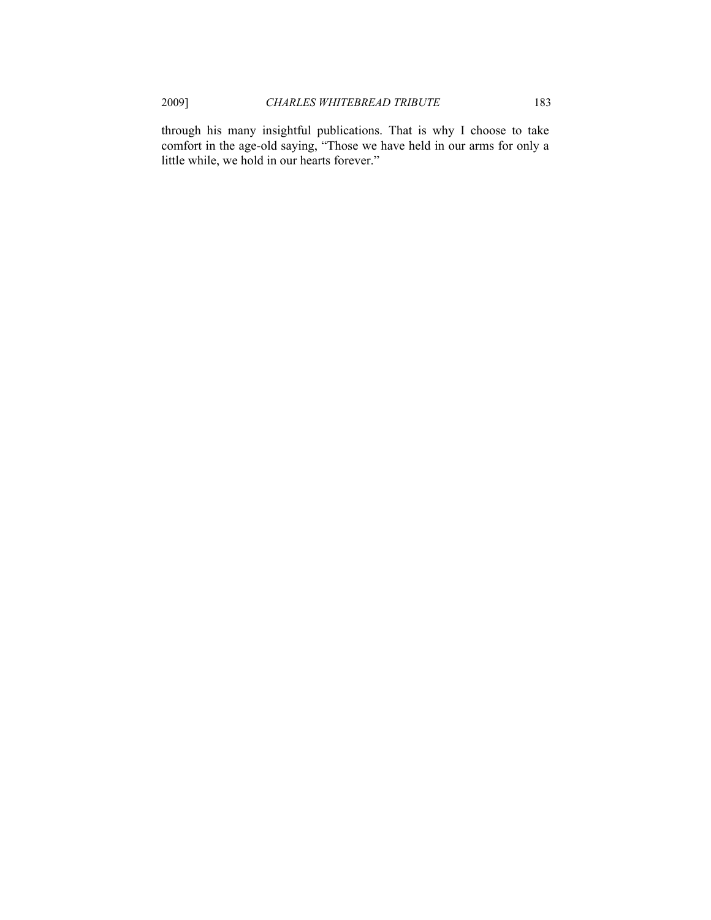through his many insightful publications. That is why I choose to take comfort in the age-old saying, "Those we have held in our arms for only a little while, we hold in our hearts forever."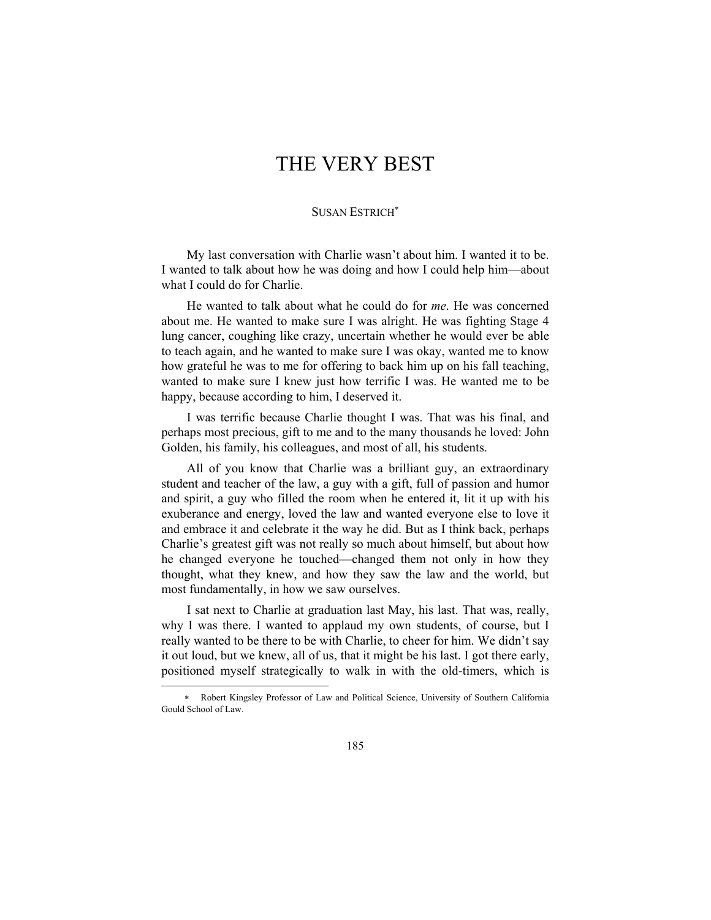# THE VERY BEST

#### SUSAN ESTRICH<sup>∗</sup>

My last conversation with Charlie wasn't about him. I wanted it to be. I wanted to talk about how he was doing and how I could help him—about what I could do for Charlie.

He wanted to talk about what he could do for *me*. He was concerned about me. He wanted to make sure I was alright. He was fighting Stage 4 lung cancer, coughing like crazy, uncertain whether he would ever be able to teach again, and he wanted to make sure I was okay, wanted me to know how grateful he was to me for offering to back him up on his fall teaching, wanted to make sure I knew just how terrific I was. He wanted me to be happy, because according to him, I deserved it.

I was terrific because Charlie thought I was. That was his final, and perhaps most precious, gift to me and to the many thousands he loved: John Golden, his family, his colleagues, and most of all, his students.

All of you know that Charlie was a brilliant guy, an extraordinary student and teacher of the law, a guy with a gift, full of passion and humor and spirit, a guy who filled the room when he entered it, lit it up with his exuberance and energy, loved the law and wanted everyone else to love it and embrace it and celebrate it the way he did. But as I think back, perhaps Charlie's greatest gift was not really so much about himself, but about how he changed everyone he touched—changed them not only in how they thought, what they knew, and how they saw the law and the world, but most fundamentally, in how we saw ourselves.

I sat next to Charlie at graduation last May, his last. That was, really, why I was there. I wanted to applaud my own students, of course, but I really wanted to be there to be with Charlie, to cheer for him. We didn't say it out loud, but we knew, all of us, that it might be his last. I got there early, positioned myself strategically to walk in with the old-timers, which is

l

<sup>∗</sup> Robert Kingsley Professor of Law and Political Science, University of Southern California Gould School of Law.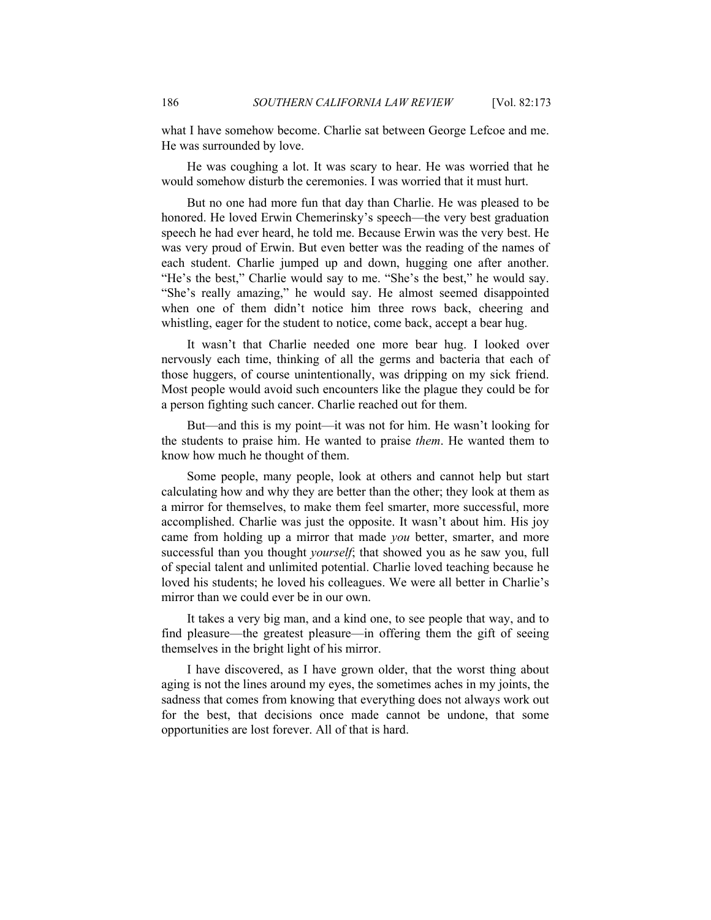what I have somehow become. Charlie sat between George Lefcoe and me. He was surrounded by love.

He was coughing a lot. It was scary to hear. He was worried that he would somehow disturb the ceremonies. I was worried that it must hurt.

But no one had more fun that day than Charlie. He was pleased to be honored. He loved Erwin Chemerinsky's speech—the very best graduation speech he had ever heard, he told me. Because Erwin was the very best. He was very proud of Erwin. But even better was the reading of the names of each student. Charlie jumped up and down, hugging one after another. "He's the best," Charlie would say to me. "She's the best," he would say. "She's really amazing," he would say. He almost seemed disappointed when one of them didn't notice him three rows back, cheering and whistling, eager for the student to notice, come back, accept a bear hug.

It wasn't that Charlie needed one more bear hug. I looked over nervously each time, thinking of all the germs and bacteria that each of those huggers, of course unintentionally, was dripping on my sick friend. Most people would avoid such encounters like the plague they could be for a person fighting such cancer. Charlie reached out for them.

But—and this is my point—it was not for him. He wasn't looking for the students to praise him. He wanted to praise *them*. He wanted them to know how much he thought of them.

Some people, many people, look at others and cannot help but start calculating how and why they are better than the other; they look at them as a mirror for themselves, to make them feel smarter, more successful, more accomplished. Charlie was just the opposite. It wasn't about him. His joy came from holding up a mirror that made *you* better, smarter, and more successful than you thought *yourself*; that showed you as he saw you, full of special talent and unlimited potential. Charlie loved teaching because he loved his students; he loved his colleagues. We were all better in Charlie's mirror than we could ever be in our own.

It takes a very big man, and a kind one, to see people that way, and to find pleasure—the greatest pleasure—in offering them the gift of seeing themselves in the bright light of his mirror.

I have discovered, as I have grown older, that the worst thing about aging is not the lines around my eyes, the sometimes aches in my joints, the sadness that comes from knowing that everything does not always work out for the best, that decisions once made cannot be undone, that some opportunities are lost forever. All of that is hard.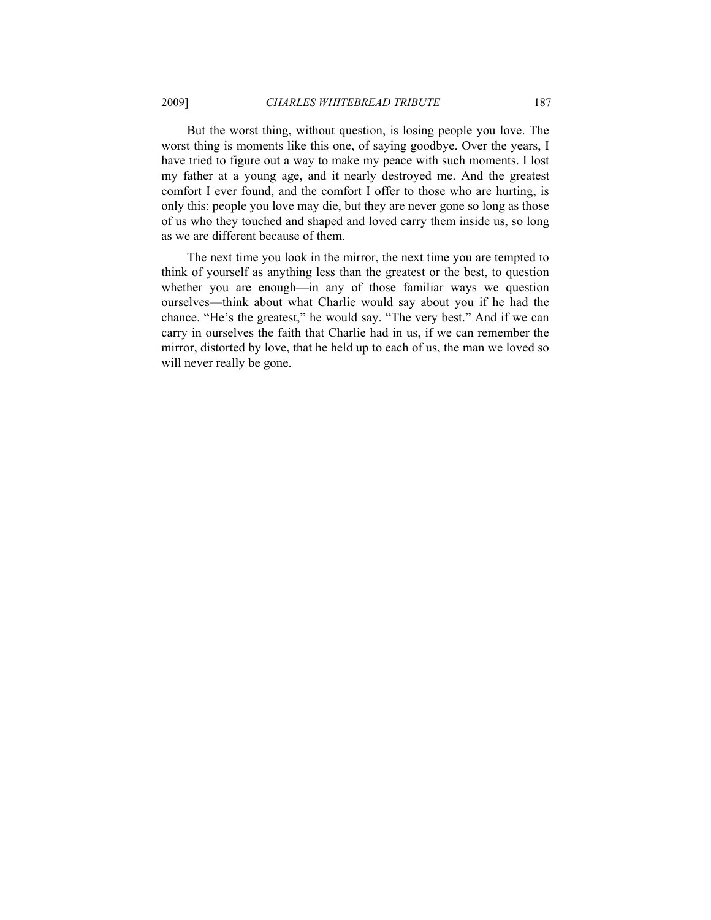But the worst thing, without question, is losing people you love. The worst thing is moments like this one, of saying goodbye. Over the years, I have tried to figure out a way to make my peace with such moments. I lost my father at a young age, and it nearly destroyed me. And the greatest comfort I ever found, and the comfort I offer to those who are hurting, is only this: people you love may die, but they are never gone so long as those of us who they touched and shaped and loved carry them inside us, so long as we are different because of them.

The next time you look in the mirror, the next time you are tempted to think of yourself as anything less than the greatest or the best, to question whether you are enough—in any of those familiar ways we question ourselves—think about what Charlie would say about you if he had the chance. "He's the greatest," he would say. "The very best." And if we can carry in ourselves the faith that Charlie had in us, if we can remember the mirror, distorted by love, that he held up to each of us, the man we loved so will never really be gone.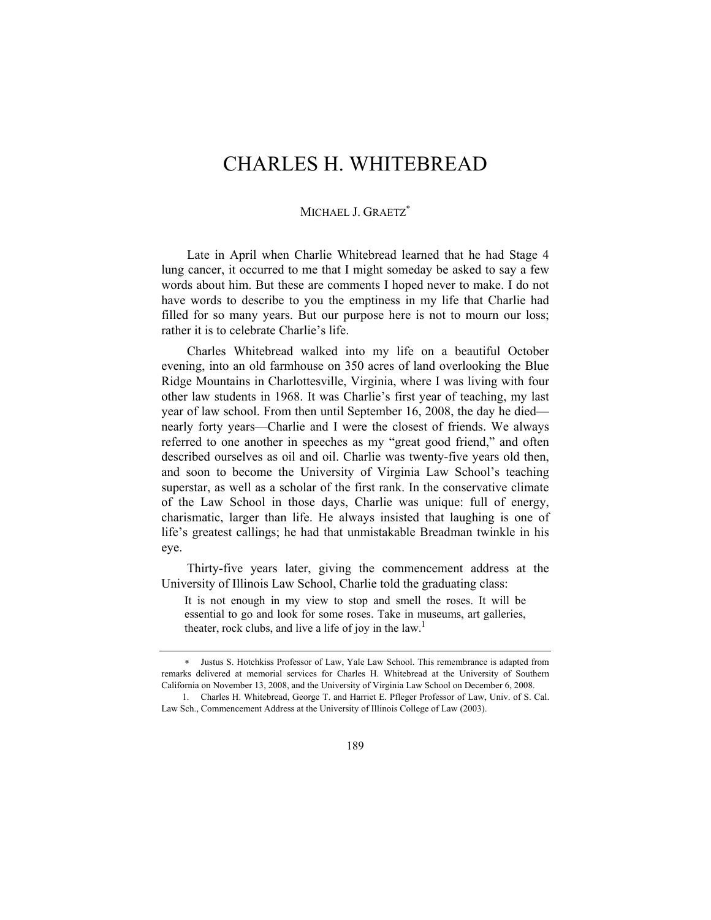# CHARLES H. WHITEBREAD

### MICHAEL J. GRAETZ<sup>\*</sup>

Late in April when Charlie Whitebread learned that he had Stage 4 lung cancer, it occurred to me that I might someday be asked to say a few words about him. But these are comments I hoped never to make. I do not have words to describe to you the emptiness in my life that Charlie had filled for so many years. But our purpose here is not to mourn our loss; rather it is to celebrate Charlie's life.

Charles Whitebread walked into my life on a beautiful October evening, into an old farmhouse on 350 acres of land overlooking the Blue Ridge Mountains in Charlottesville, Virginia, where I was living with four other law students in 1968. It was Charlie's first year of teaching, my last year of law school. From then until September 16, 2008, the day he died nearly forty years—Charlie and I were the closest of friends. We always referred to one another in speeches as my "great good friend," and often described ourselves as oil and oil. Charlie was twenty-five years old then, and soon to become the University of Virginia Law School's teaching superstar, as well as a scholar of the first rank. In the conservative climate of the Law School in those days, Charlie was unique: full of energy, charismatic, larger than life. He always insisted that laughing is one of life's greatest callings; he had that unmistakable Breadman twinkle in his eye.

Thirty-five years later, giving the commencement address at the University of Illinois Law School, Charlie told the graduating class:

It is not enough in my view to stop and smell the roses. It will be essential to go and look for some roses. Take in museums, art galleries, theater, rock clubs, and live a life of joy in the law.<sup>1</sup>

<sup>∗</sup> Justus S. Hotchkiss Professor of Law, Yale Law School. This remembrance is adapted from remarks delivered at memorial services for Charles H. Whitebread at the University of Southern California on November 13, 2008, and the University of Virginia Law School on December 6, 2008.

 <sup>1.</sup> Charles H. Whitebread, George T. and Harriet E. Pfleger Professor of Law, Univ. of S. Cal. Law Sch., Commencement Address at the University of Illinois College of Law (2003).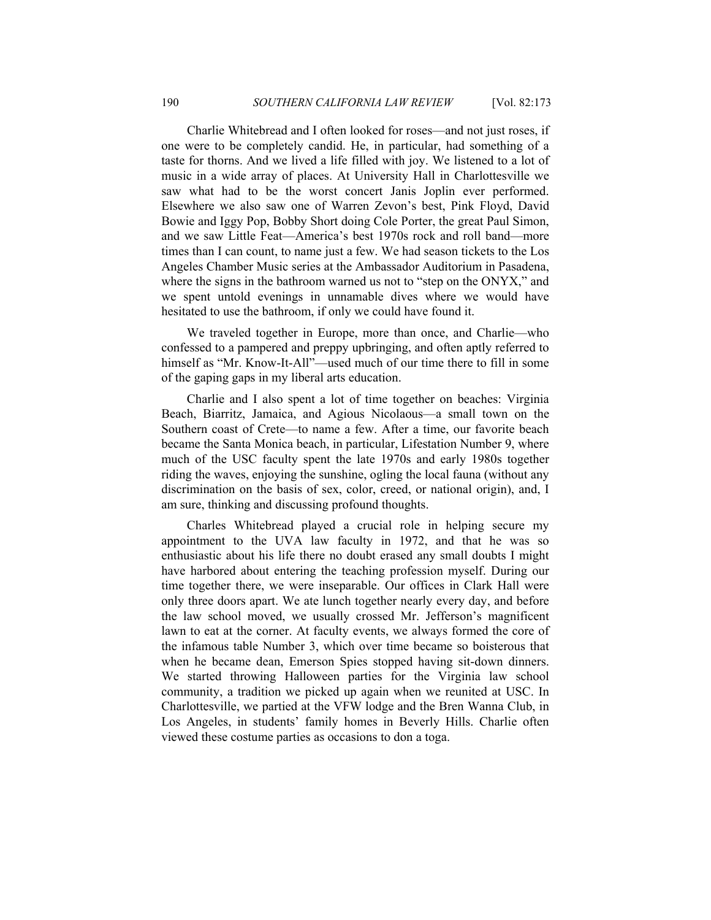Charlie Whitebread and I often looked for roses—and not just roses, if one were to be completely candid. He, in particular, had something of a taste for thorns. And we lived a life filled with joy. We listened to a lot of music in a wide array of places. At University Hall in Charlottesville we saw what had to be the worst concert Janis Joplin ever performed. Elsewhere we also saw one of Warren Zevon's best, Pink Floyd, David Bowie and Iggy Pop, Bobby Short doing Cole Porter, the great Paul Simon, and we saw Little Feat—America's best 1970s rock and roll band—more times than I can count, to name just a few. We had season tickets to the Los Angeles Chamber Music series at the Ambassador Auditorium in Pasadena, where the signs in the bathroom warned us not to "step on the ONYX," and we spent untold evenings in unnamable dives where we would have hesitated to use the bathroom, if only we could have found it.

We traveled together in Europe, more than once, and Charlie—who confessed to a pampered and preppy upbringing, and often aptly referred to himself as "Mr. Know-It-All"—used much of our time there to fill in some of the gaping gaps in my liberal arts education.

Charlie and I also spent a lot of time together on beaches: Virginia Beach, Biarritz, Jamaica, and Agious Nicolaous—a small town on the Southern coast of Crete—to name a few. After a time, our favorite beach became the Santa Monica beach, in particular, Lifestation Number 9, where much of the USC faculty spent the late 1970s and early 1980s together riding the waves, enjoying the sunshine, ogling the local fauna (without any discrimination on the basis of sex, color, creed, or national origin), and, I am sure, thinking and discussing profound thoughts.

Charles Whitebread played a crucial role in helping secure my appointment to the UVA law faculty in 1972, and that he was so enthusiastic about his life there no doubt erased any small doubts I might have harbored about entering the teaching profession myself. During our time together there, we were inseparable. Our offices in Clark Hall were only three doors apart. We ate lunch together nearly every day, and before the law school moved, we usually crossed Mr. Jefferson's magnificent lawn to eat at the corner. At faculty events, we always formed the core of the infamous table Number 3, which over time became so boisterous that when he became dean, Emerson Spies stopped having sit-down dinners. We started throwing Halloween parties for the Virginia law school community, a tradition we picked up again when we reunited at USC. In Charlottesville, we partied at the VFW lodge and the Bren Wanna Club, in Los Angeles, in students' family homes in Beverly Hills. Charlie often viewed these costume parties as occasions to don a toga.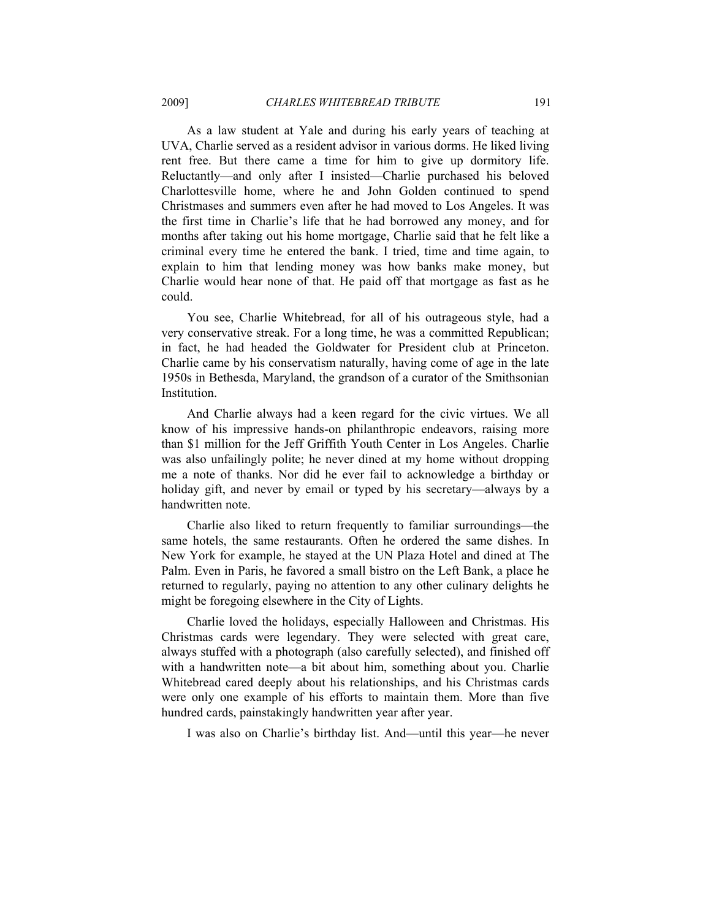As a law student at Yale and during his early years of teaching at UVA, Charlie served as a resident advisor in various dorms. He liked living rent free. But there came a time for him to give up dormitory life. Reluctantly—and only after I insisted—Charlie purchased his beloved Charlottesville home, where he and John Golden continued to spend Christmases and summers even after he had moved to Los Angeles. It was the first time in Charlie's life that he had borrowed any money, and for months after taking out his home mortgage, Charlie said that he felt like a criminal every time he entered the bank. I tried, time and time again, to explain to him that lending money was how banks make money, but Charlie would hear none of that. He paid off that mortgage as fast as he could.

You see, Charlie Whitebread, for all of his outrageous style, had a very conservative streak. For a long time, he was a committed Republican; in fact, he had headed the Goldwater for President club at Princeton. Charlie came by his conservatism naturally, having come of age in the late 1950s in Bethesda, Maryland, the grandson of a curator of the Smithsonian **Institution** 

And Charlie always had a keen regard for the civic virtues. We all know of his impressive hands-on philanthropic endeavors, raising more than \$1 million for the Jeff Griffith Youth Center in Los Angeles. Charlie was also unfailingly polite; he never dined at my home without dropping me a note of thanks. Nor did he ever fail to acknowledge a birthday or holiday gift, and never by email or typed by his secretary—always by a handwritten note.

Charlie also liked to return frequently to familiar surroundings—the same hotels, the same restaurants. Often he ordered the same dishes. In New York for example, he stayed at the UN Plaza Hotel and dined at The Palm. Even in Paris, he favored a small bistro on the Left Bank, a place he returned to regularly, paying no attention to any other culinary delights he might be foregoing elsewhere in the City of Lights.

Charlie loved the holidays, especially Halloween and Christmas. His Christmas cards were legendary. They were selected with great care, always stuffed with a photograph (also carefully selected), and finished off with a handwritten note—a bit about him, something about you. Charlie Whitebread cared deeply about his relationships, and his Christmas cards were only one example of his efforts to maintain them. More than five hundred cards, painstakingly handwritten year after year.

I was also on Charlie's birthday list. And—until this year—he never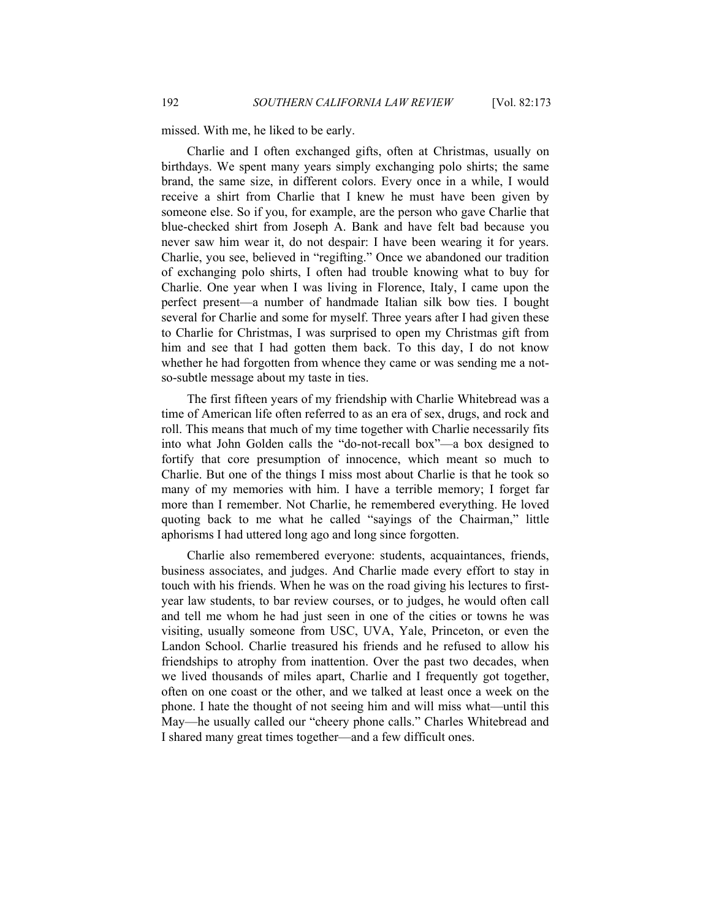missed. With me, he liked to be early.

Charlie and I often exchanged gifts, often at Christmas, usually on birthdays. We spent many years simply exchanging polo shirts; the same brand, the same size, in different colors. Every once in a while, I would receive a shirt from Charlie that I knew he must have been given by someone else. So if you, for example, are the person who gave Charlie that blue-checked shirt from Joseph A. Bank and have felt bad because you never saw him wear it, do not despair: I have been wearing it for years. Charlie, you see, believed in "regifting." Once we abandoned our tradition of exchanging polo shirts, I often had trouble knowing what to buy for Charlie. One year when I was living in Florence, Italy, I came upon the perfect present—a number of handmade Italian silk bow ties. I bought several for Charlie and some for myself. Three years after I had given these to Charlie for Christmas, I was surprised to open my Christmas gift from him and see that I had gotten them back. To this day, I do not know whether he had forgotten from whence they came or was sending me a notso-subtle message about my taste in ties.

The first fifteen years of my friendship with Charlie Whitebread was a time of American life often referred to as an era of sex, drugs, and rock and roll. This means that much of my time together with Charlie necessarily fits into what John Golden calls the "do-not-recall box"—a box designed to fortify that core presumption of innocence, which meant so much to Charlie. But one of the things I miss most about Charlie is that he took so many of my memories with him. I have a terrible memory; I forget far more than I remember. Not Charlie, he remembered everything. He loved quoting back to me what he called "sayings of the Chairman," little aphorisms I had uttered long ago and long since forgotten.

Charlie also remembered everyone: students, acquaintances, friends, business associates, and judges. And Charlie made every effort to stay in touch with his friends. When he was on the road giving his lectures to firstyear law students, to bar review courses, or to judges, he would often call and tell me whom he had just seen in one of the cities or towns he was visiting, usually someone from USC, UVA, Yale, Princeton, or even the Landon School. Charlie treasured his friends and he refused to allow his friendships to atrophy from inattention. Over the past two decades, when we lived thousands of miles apart, Charlie and I frequently got together, often on one coast or the other, and we talked at least once a week on the phone. I hate the thought of not seeing him and will miss what—until this May—he usually called our "cheery phone calls." Charles Whitebread and I shared many great times together—and a few difficult ones.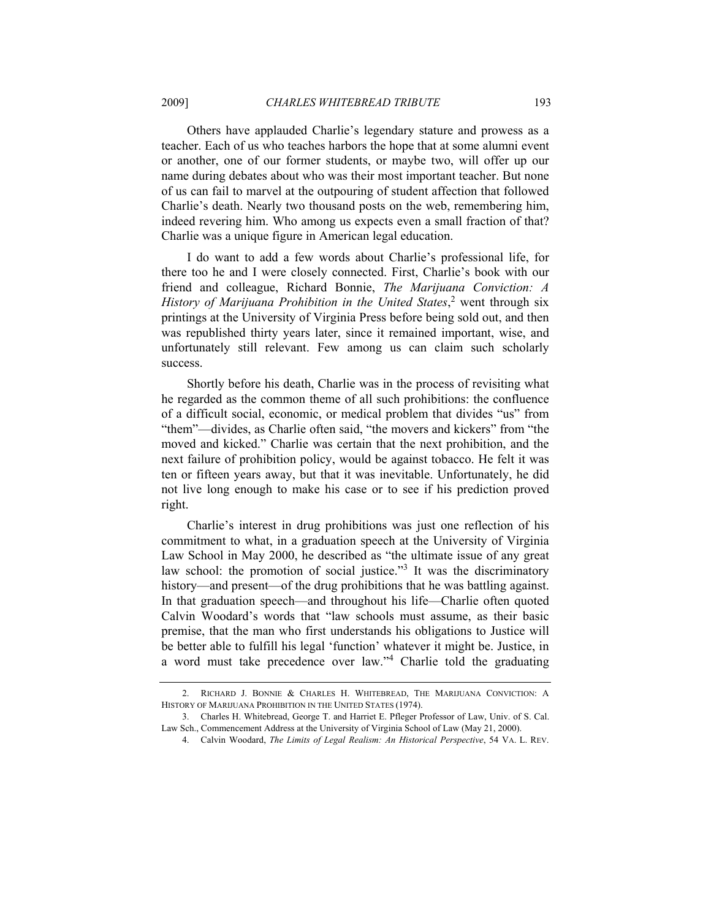Others have applauded Charlie's legendary stature and prowess as a teacher. Each of us who teaches harbors the hope that at some alumni event or another, one of our former students, or maybe two, will offer up our name during debates about who was their most important teacher. But none of us can fail to marvel at the outpouring of student affection that followed Charlie's death. Nearly two thousand posts on the web, remembering him, indeed revering him. Who among us expects even a small fraction of that? Charlie was a unique figure in American legal education.

I do want to add a few words about Charlie's professional life, for there too he and I were closely connected. First, Charlie's book with our friend and colleague, Richard Bonnie, *The Marijuana Conviction: A History of Marijuana Prohibition in the United States*, 2 went through six printings at the University of Virginia Press before being sold out, and then was republished thirty years later, since it remained important, wise, and unfortunately still relevant. Few among us can claim such scholarly success.

Shortly before his death, Charlie was in the process of revisiting what he regarded as the common theme of all such prohibitions: the confluence of a difficult social, economic, or medical problem that divides "us" from "them"—divides, as Charlie often said, "the movers and kickers" from "the moved and kicked." Charlie was certain that the next prohibition, and the next failure of prohibition policy, would be against tobacco. He felt it was ten or fifteen years away, but that it was inevitable. Unfortunately, he did not live long enough to make his case or to see if his prediction proved right.

Charlie's interest in drug prohibitions was just one reflection of his commitment to what, in a graduation speech at the University of Virginia Law School in May 2000, he described as "the ultimate issue of any great law school: the promotion of social justice."<sup>3</sup> It was the discriminatory history—and present—of the drug prohibitions that he was battling against. In that graduation speech—and throughout his life—Charlie often quoted Calvin Woodard's words that "law schools must assume, as their basic premise, that the man who first understands his obligations to Justice will be better able to fulfill his legal 'function' whatever it might be. Justice, in a word must take precedence over law."<sup>4</sup> Charlie told the graduating

 <sup>2.</sup> RICHARD J. BONNIE & CHARLES H. WHITEBREAD, THE MARIJUANA CONVICTION: A HISTORY OF MARIJUANA PROHIBITION IN THE UNITED STATES (1974).

 <sup>3.</sup> Charles H. Whitebread, George T. and Harriet E. Pfleger Professor of Law, Univ. of S. Cal. Law Sch., Commencement Address at the University of Virginia School of Law (May 21, 2000).

 <sup>4.</sup> Calvin Woodard, *The Limits of Legal Realism: An Historical Perspective*, 54 VA. L. REV.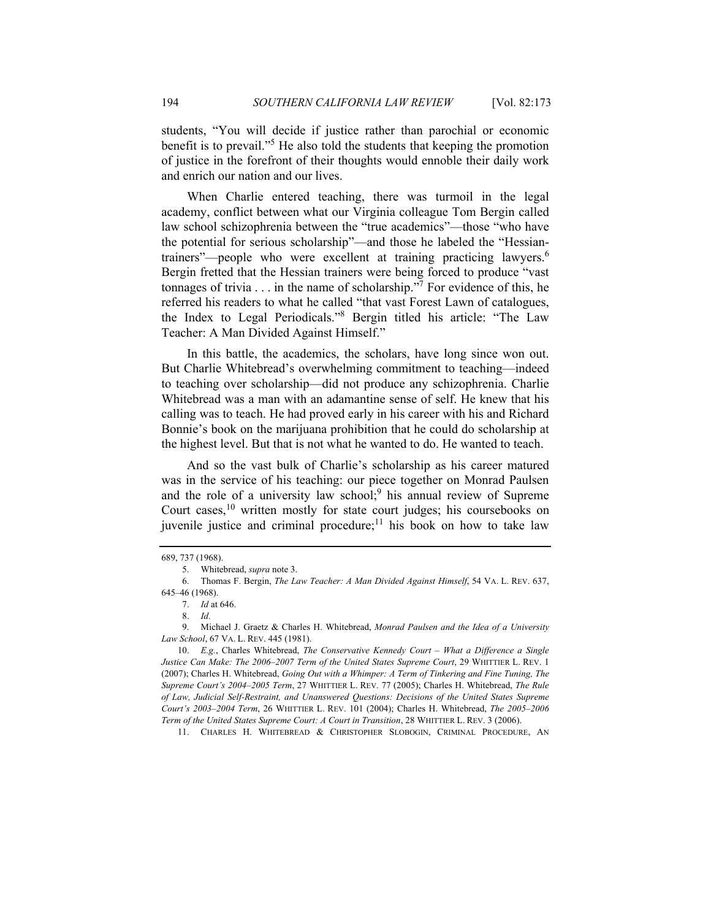students, "You will decide if justice rather than parochial or economic benefit is to prevail."<sup>5</sup> He also told the students that keeping the promotion of justice in the forefront of their thoughts would ennoble their daily work and enrich our nation and our lives.

When Charlie entered teaching, there was turmoil in the legal academy, conflict between what our Virginia colleague Tom Bergin called law school schizophrenia between the "true academics"—those "who have the potential for serious scholarship"—and those he labeled the "Hessiantrainers"—people who were excellent at training practicing lawyers.<sup>6</sup> Bergin fretted that the Hessian trainers were being forced to produce "vast tonnages of trivia  $\dots$  in the name of scholarship."<sup>7</sup> For evidence of this, he referred his readers to what he called "that vast Forest Lawn of catalogues, the Index to Legal Periodicals."<sup>8</sup> Bergin titled his article: "The Law Teacher: A Man Divided Against Himself."

In this battle, the academics, the scholars, have long since won out. But Charlie Whitebread's overwhelming commitment to teaching—indeed to teaching over scholarship—did not produce any schizophrenia. Charlie Whitebread was a man with an adamantine sense of self. He knew that his calling was to teach. He had proved early in his career with his and Richard Bonnie's book on the marijuana prohibition that he could do scholarship at the highest level. But that is not what he wanted to do. He wanted to teach.

And so the vast bulk of Charlie's scholarship as his career matured was in the service of his teaching: our piece together on Monrad Paulsen and the role of a university law school;<sup>9</sup> his annual review of Supreme Court cases,<sup>10</sup> written mostly for state court judges; his coursebooks on juvenile justice and criminal procedure; $<sup>11</sup>$  his book on how to take law</sup>

11. CHARLES H. WHITEBREAD & CHRISTOPHER SLOBOGIN, CRIMINAL PROCEDURE, AN

<sup>689, 737 (1968).</sup> 

 <sup>5.</sup> Whitebread, *supra* note 3.

 <sup>6.</sup> Thomas F. Bergin, *The Law Teacher: A Man Divided Against Himself*, 54 VA. L. REV. 637, 645–46 (1968).

<sup>7.</sup> *Id* at 646.

<sup>8.</sup> *Id.*

 <sup>9.</sup> Michael J. Graetz & Charles H. Whitebread, *Monrad Paulsen and the Idea of a University Law School*, 67 VA. L. REV. 445 (1981).

 <sup>10.</sup> *E.g.*, Charles Whitebread, *The Conservative Kennedy Court – What a Difference a Single Justice Can Make: The 2006–2007 Term of the United States Supreme Court*, 29 WHITTIER L. REV. 1 (2007); Charles H. Whitebread, *Going Out with a Whimper: A Term of Tinkering and Fine Tuning, The Supreme Court's 2004–2005 Term*, 27 WHITTIER L. REV. 77 (2005); Charles H. Whitebread, *The Rule of Law, Judicial Self-Restraint, and Unanswered Questions: Decisions of the United States Supreme Court's 2003–2004 Term*, 26 WHITTIER L. REV. 101 (2004); Charles H. Whitebread, *The 2005–2006 Term of the United States Supreme Court: A Court in Transition*, 28 WHITTIER L. REV. 3 (2006).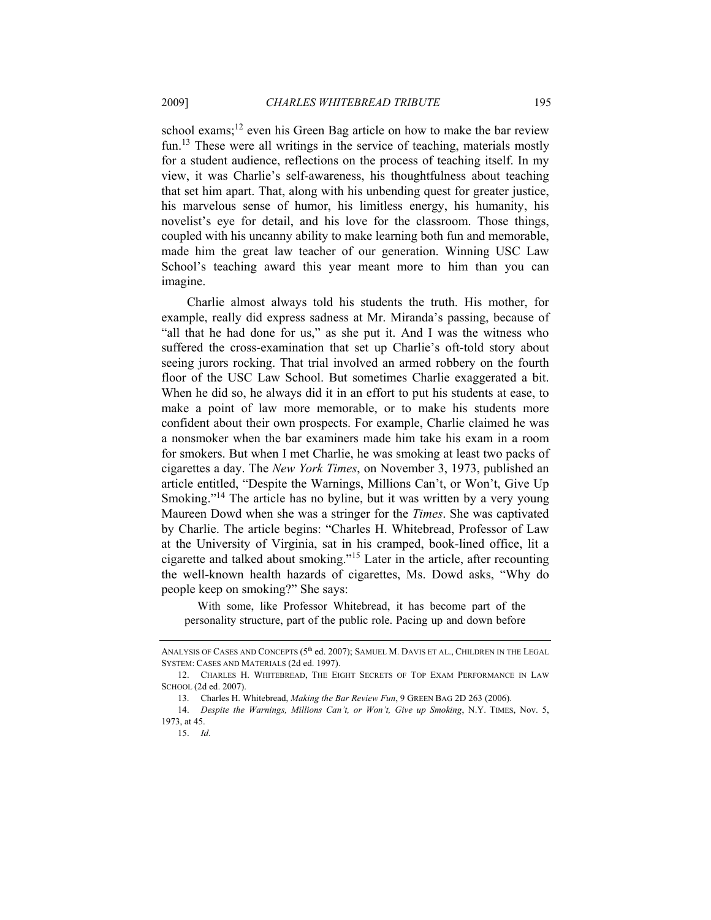school exams;<sup>12</sup> even his Green Bag article on how to make the bar review fun.<sup>13</sup> These were all writings in the service of teaching, materials mostly for a student audience, reflections on the process of teaching itself. In my view, it was Charlie's self-awareness, his thoughtfulness about teaching that set him apart. That, along with his unbending quest for greater justice, his marvelous sense of humor, his limitless energy, his humanity, his novelist's eye for detail, and his love for the classroom. Those things, coupled with his uncanny ability to make learning both fun and memorable, made him the great law teacher of our generation. Winning USC Law School's teaching award this year meant more to him than you can imagine.

Charlie almost always told his students the truth. His mother, for example, really did express sadness at Mr. Miranda's passing, because of "all that he had done for us," as she put it. And I was the witness who suffered the cross-examination that set up Charlie's oft-told story about seeing jurors rocking. That trial involved an armed robbery on the fourth floor of the USC Law School. But sometimes Charlie exaggerated a bit. When he did so, he always did it in an effort to put his students at ease, to make a point of law more memorable, or to make his students more confident about their own prospects. For example, Charlie claimed he was a nonsmoker when the bar examiners made him take his exam in a room for smokers. But when I met Charlie, he was smoking at least two packs of cigarettes a day. The *New York Times*, on November 3, 1973, published an article entitled, "Despite the Warnings, Millions Can't, or Won't, Give Up Smoking."<sup>14</sup> The article has no byline, but it was written by a very young Maureen Dowd when she was a stringer for the *Times*. She was captivated by Charlie. The article begins: "Charles H. Whitebread, Professor of Law at the University of Virginia, sat in his cramped, book-lined office, lit a cigarette and talked about smoking."15 Later in the article, after recounting the well-known health hazards of cigarettes, Ms. Dowd asks, "Why do people keep on smoking?" She says:

 With some, like Professor Whitebread, it has become part of the personality structure, part of the public role. Pacing up and down before

ANALYSIS OF CASES AND CONCEPTS (5<sup>th</sup> ed. 2007); SAMUEL M. DAVIS ET AL., CHILDREN IN THE LEGAL SYSTEM: CASES AND MATERIALS (2d ed. 1997).

 <sup>12.</sup> CHARLES H. WHITEBREAD, THE EIGHT SECRETS OF TOP EXAM PERFORMANCE IN LAW SCHOOL (2d ed. 2007).

 <sup>13.</sup> Charles H. Whitebread, *Making the Bar Review Fun*, 9 GREEN BAG 2D 263 (2006).

<sup>14.</sup> *Despite the Warnings, Millions Can't, or Won't, Give up Smoking*, N.Y. TIMES, Nov. 5, 1973, at 45.

<sup>15.</sup> *Id.*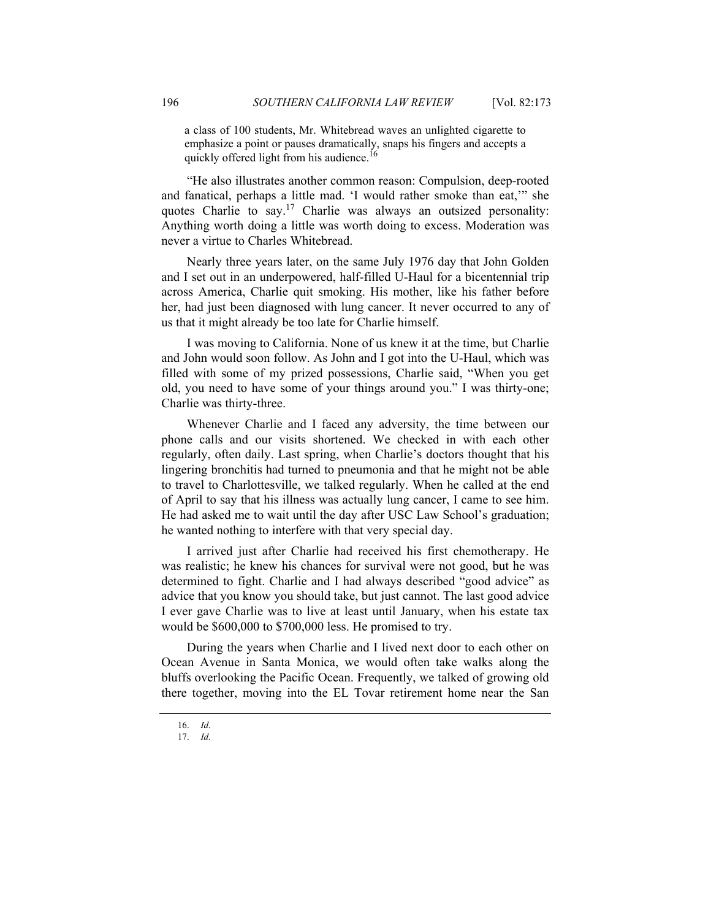a class of 100 students, Mr. Whitebread waves an unlighted cigarette to emphasize a point or pauses dramatically, snaps his fingers and accepts a quickly offered light from his audience.<sup>16</sup>

"He also illustrates another common reason: Compulsion, deep-rooted and fanatical, perhaps a little mad. 'I would rather smoke than eat,'" she quotes Charlie to say.<sup>17</sup> Charlie was always an outsized personality: Anything worth doing a little was worth doing to excess. Moderation was never a virtue to Charles Whitebread.

Nearly three years later, on the same July 1976 day that John Golden and I set out in an underpowered, half-filled U-Haul for a bicentennial trip across America, Charlie quit smoking. His mother, like his father before her, had just been diagnosed with lung cancer. It never occurred to any of us that it might already be too late for Charlie himself.

I was moving to California. None of us knew it at the time, but Charlie and John would soon follow. As John and I got into the U-Haul, which was filled with some of my prized possessions, Charlie said, "When you get old, you need to have some of your things around you." I was thirty-one; Charlie was thirty-three.

Whenever Charlie and I faced any adversity, the time between our phone calls and our visits shortened. We checked in with each other regularly, often daily. Last spring, when Charlie's doctors thought that his lingering bronchitis had turned to pneumonia and that he might not be able to travel to Charlottesville, we talked regularly. When he called at the end of April to say that his illness was actually lung cancer, I came to see him. He had asked me to wait until the day after USC Law School's graduation; he wanted nothing to interfere with that very special day.

I arrived just after Charlie had received his first chemotherapy. He was realistic; he knew his chances for survival were not good, but he was determined to fight. Charlie and I had always described "good advice" as advice that you know you should take, but just cannot. The last good advice I ever gave Charlie was to live at least until January, when his estate tax would be \$600,000 to \$700,000 less. He promised to try.

During the years when Charlie and I lived next door to each other on Ocean Avenue in Santa Monica, we would often take walks along the bluffs overlooking the Pacific Ocean. Frequently, we talked of growing old there together, moving into the EL Tovar retirement home near the San

<sup>16.</sup> *Id.*

<sup>17.</sup> *Id.*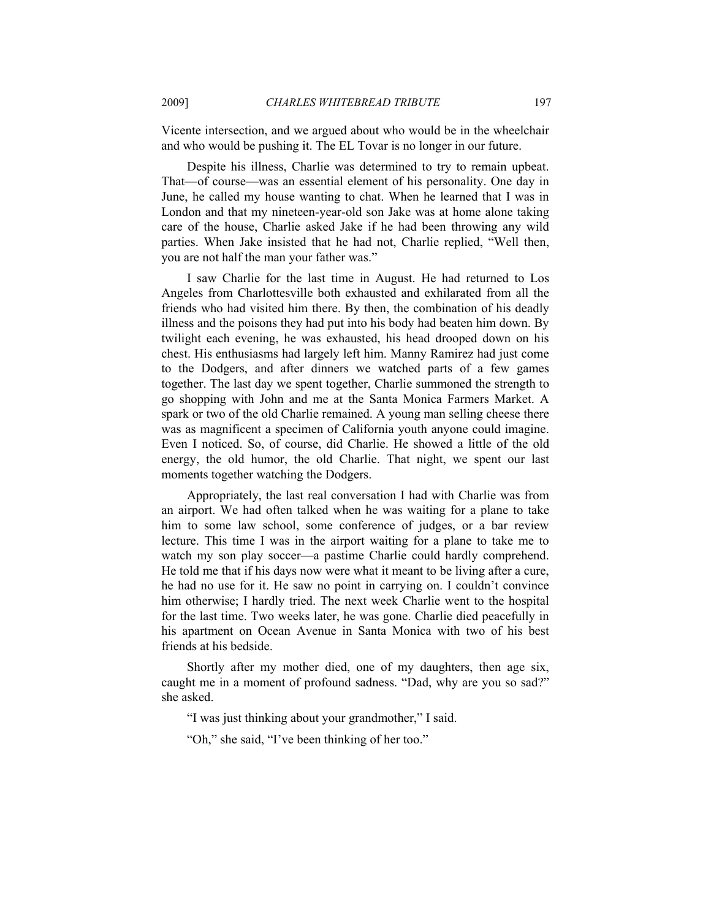Vicente intersection, and we argued about who would be in the wheelchair and who would be pushing it. The EL Tovar is no longer in our future.

Despite his illness, Charlie was determined to try to remain upbeat. That—of course—was an essential element of his personality. One day in June, he called my house wanting to chat. When he learned that I was in London and that my nineteen-year-old son Jake was at home alone taking care of the house, Charlie asked Jake if he had been throwing any wild parties. When Jake insisted that he had not, Charlie replied, "Well then, you are not half the man your father was."

I saw Charlie for the last time in August. He had returned to Los Angeles from Charlottesville both exhausted and exhilarated from all the friends who had visited him there. By then, the combination of his deadly illness and the poisons they had put into his body had beaten him down. By twilight each evening, he was exhausted, his head drooped down on his chest. His enthusiasms had largely left him. Manny Ramirez had just come to the Dodgers, and after dinners we watched parts of a few games together. The last day we spent together, Charlie summoned the strength to go shopping with John and me at the Santa Monica Farmers Market. A spark or two of the old Charlie remained. A young man selling cheese there was as magnificent a specimen of California youth anyone could imagine. Even I noticed. So, of course, did Charlie. He showed a little of the old energy, the old humor, the old Charlie. That night, we spent our last moments together watching the Dodgers.

Appropriately, the last real conversation I had with Charlie was from an airport. We had often talked when he was waiting for a plane to take him to some law school, some conference of judges, or a bar review lecture. This time I was in the airport waiting for a plane to take me to watch my son play soccer—a pastime Charlie could hardly comprehend. He told me that if his days now were what it meant to be living after a cure, he had no use for it. He saw no point in carrying on. I couldn't convince him otherwise; I hardly tried. The next week Charlie went to the hospital for the last time. Two weeks later, he was gone. Charlie died peacefully in his apartment on Ocean Avenue in Santa Monica with two of his best friends at his bedside.

Shortly after my mother died, one of my daughters, then age six, caught me in a moment of profound sadness. "Dad, why are you so sad?" she asked.

"I was just thinking about your grandmother," I said.

"Oh," she said, "I've been thinking of her too."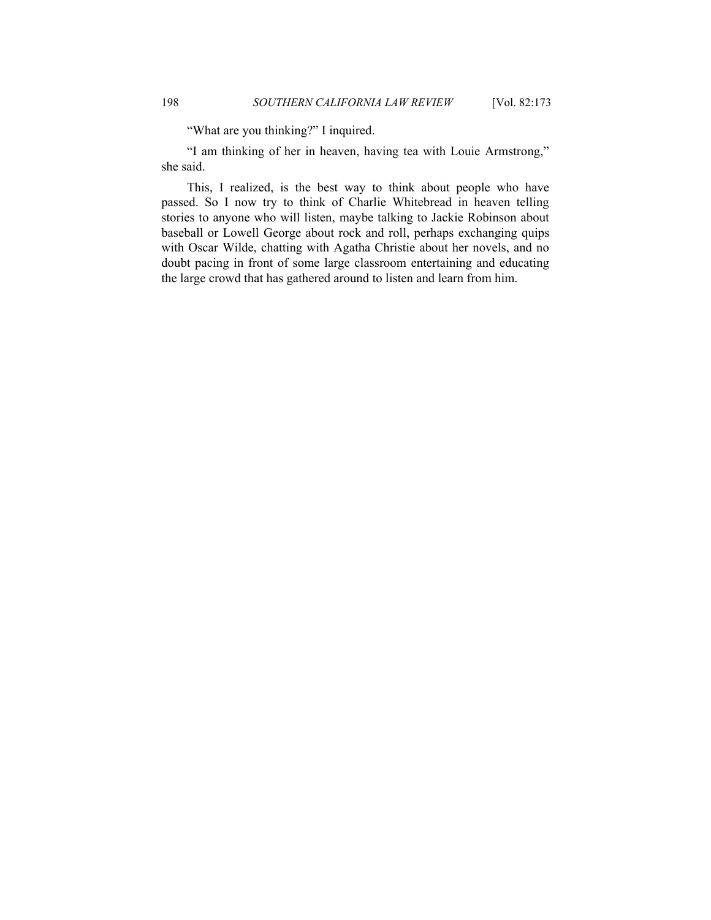"What are you thinking?" I inquired.

"I am thinking of her in heaven, having tea with Louie Armstrong," she said.

This, I realized, is the best way to think about people who have passed. So I now try to think of Charlie Whitebread in heaven telling stories to anyone who will listen, maybe talking to Jackie Robinson about baseball or Lowell George about rock and roll, perhaps exchanging quips with Oscar Wilde, chatting with Agatha Christie about her novels, and no doubt pacing in front of some large classroom entertaining and educating the large crowd that has gathered around to listen and learn from him.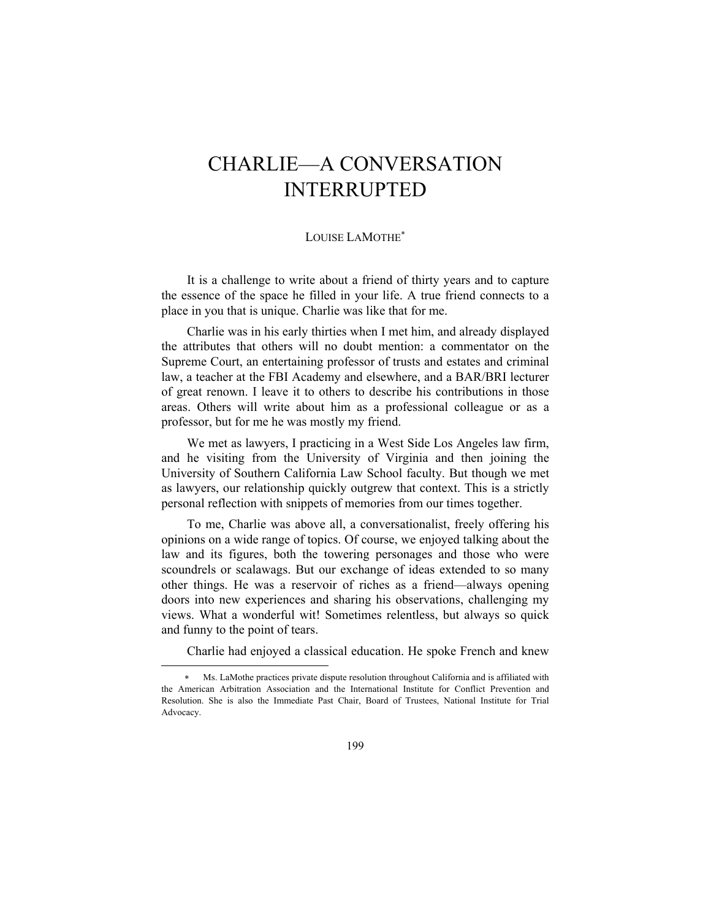# CHARLIE—A CONVERSATION INTERRUPTED

### LOUISE LAMOTHE<sup>\*</sup>

It is a challenge to write about a friend of thirty years and to capture the essence of the space he filled in your life. A true friend connects to a place in you that is unique. Charlie was like that for me.

Charlie was in his early thirties when I met him, and already displayed the attributes that others will no doubt mention: a commentator on the Supreme Court, an entertaining professor of trusts and estates and criminal law, a teacher at the FBI Academy and elsewhere, and a BAR/BRI lecturer of great renown. I leave it to others to describe his contributions in those areas. Others will write about him as a professional colleague or as a professor, but for me he was mostly my friend.

We met as lawyers, I practicing in a West Side Los Angeles law firm, and he visiting from the University of Virginia and then joining the University of Southern California Law School faculty. But though we met as lawyers, our relationship quickly outgrew that context. This is a strictly personal reflection with snippets of memories from our times together.

To me, Charlie was above all, a conversationalist, freely offering his opinions on a wide range of topics. Of course, we enjoyed talking about the law and its figures, both the towering personages and those who were scoundrels or scalawags. But our exchange of ideas extended to so many other things. He was a reservoir of riches as a friend—always opening doors into new experiences and sharing his observations, challenging my views. What a wonderful wit! Sometimes relentless, but always so quick and funny to the point of tears.

Charlie had enjoyed a classical education. He spoke French and knew

l

Ms. LaMothe practices private dispute resolution throughout California and is affiliated with the American Arbitration Association and the International Institute for Conflict Prevention and Resolution. She is also the Immediate Past Chair, Board of Trustees, National Institute for Trial Advocacy.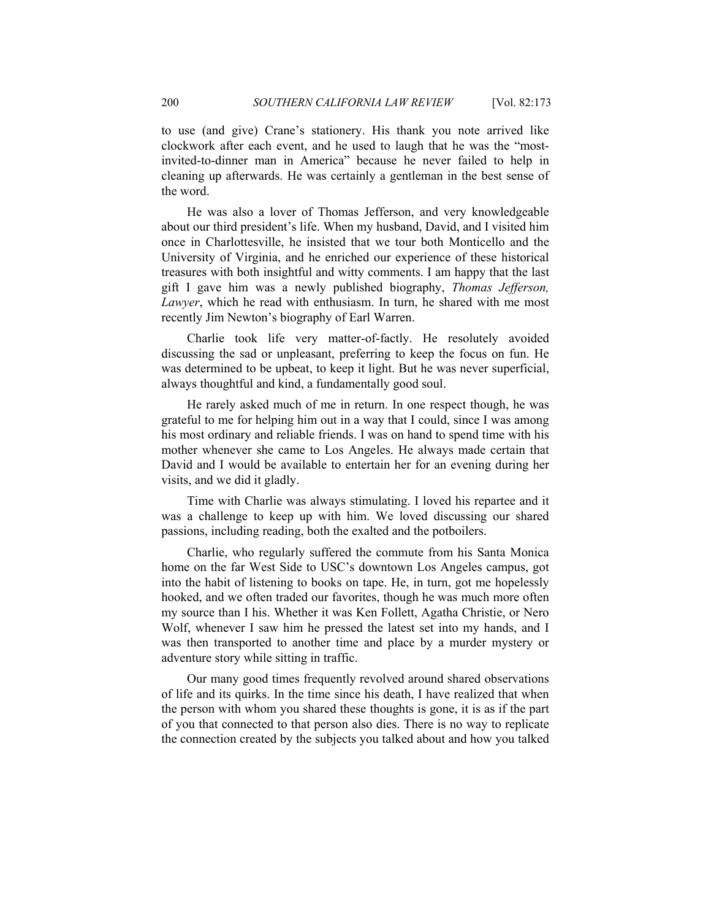to use (and give) Crane's stationery. His thank you note arrived like clockwork after each event, and he used to laugh that he was the "mostinvited-to-dinner man in America" because he never failed to help in cleaning up afterwards. He was certainly a gentleman in the best sense of the word.

He was also a lover of Thomas Jefferson, and very knowledgeable about our third president's life. When my husband, David, and I visited him once in Charlottesville, he insisted that we tour both Monticello and the University of Virginia, and he enriched our experience of these historical treasures with both insightful and witty comments. I am happy that the last gift I gave him was a newly published biography, *Thomas Jefferson, Lawyer*, which he read with enthusiasm. In turn, he shared with me most recently Jim Newton's biography of Earl Warren.

Charlie took life very matter-of-factly. He resolutely avoided discussing the sad or unpleasant, preferring to keep the focus on fun. He was determined to be upbeat, to keep it light. But he was never superficial, always thoughtful and kind, a fundamentally good soul.

He rarely asked much of me in return. In one respect though, he was grateful to me for helping him out in a way that I could, since I was among his most ordinary and reliable friends. I was on hand to spend time with his mother whenever she came to Los Angeles. He always made certain that David and I would be available to entertain her for an evening during her visits, and we did it gladly.

Time with Charlie was always stimulating. I loved his repartee and it was a challenge to keep up with him. We loved discussing our shared passions, including reading, both the exalted and the potboilers.

Charlie, who regularly suffered the commute from his Santa Monica home on the far West Side to USC's downtown Los Angeles campus, got into the habit of listening to books on tape. He, in turn, got me hopelessly hooked, and we often traded our favorites, though he was much more often my source than I his. Whether it was Ken Follett, Agatha Christie, or Nero Wolf, whenever I saw him he pressed the latest set into my hands, and I was then transported to another time and place by a murder mystery or adventure story while sitting in traffic.

Our many good times frequently revolved around shared observations of life and its quirks. In the time since his death, I have realized that when the person with whom you shared these thoughts is gone, it is as if the part of you that connected to that person also dies. There is no way to replicate the connection created by the subjects you talked about and how you talked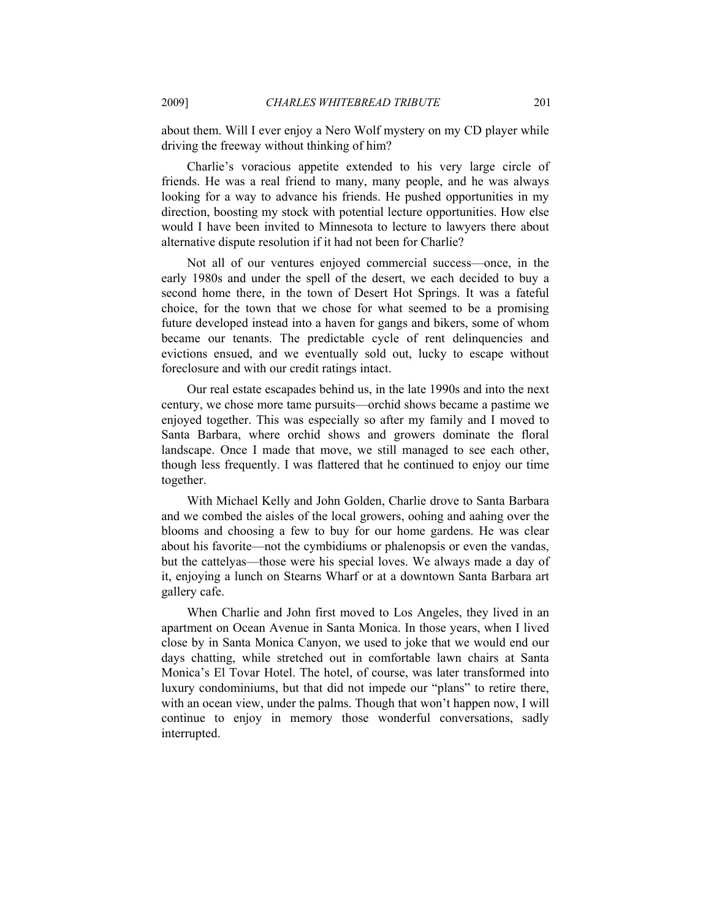about them. Will I ever enjoy a Nero Wolf mystery on my CD player while driving the freeway without thinking of him?

Charlie's voracious appetite extended to his very large circle of friends. He was a real friend to many, many people, and he was always looking for a way to advance his friends. He pushed opportunities in my direction, boosting my stock with potential lecture opportunities. How else would I have been invited to Minnesota to lecture to lawyers there about alternative dispute resolution if it had not been for Charlie?

Not all of our ventures enjoyed commercial success—once, in the early 1980s and under the spell of the desert, we each decided to buy a second home there, in the town of Desert Hot Springs. It was a fateful choice, for the town that we chose for what seemed to be a promising future developed instead into a haven for gangs and bikers, some of whom became our tenants. The predictable cycle of rent delinquencies and evictions ensued, and we eventually sold out, lucky to escape without foreclosure and with our credit ratings intact.

Our real estate escapades behind us, in the late 1990s and into the next century, we chose more tame pursuits—orchid shows became a pastime we enjoyed together. This was especially so after my family and I moved to Santa Barbara, where orchid shows and growers dominate the floral landscape. Once I made that move, we still managed to see each other, though less frequently. I was flattered that he continued to enjoy our time together.

With Michael Kelly and John Golden, Charlie drove to Santa Barbara and we combed the aisles of the local growers, oohing and aahing over the blooms and choosing a few to buy for our home gardens. He was clear about his favorite—not the cymbidiums or phalenopsis or even the vandas, but the cattelyas—those were his special loves. We always made a day of it, enjoying a lunch on Stearns Wharf or at a downtown Santa Barbara art gallery cafe.

When Charlie and John first moved to Los Angeles, they lived in an apartment on Ocean Avenue in Santa Monica. In those years, when I lived close by in Santa Monica Canyon, we used to joke that we would end our days chatting, while stretched out in comfortable lawn chairs at Santa Monica's El Tovar Hotel. The hotel, of course, was later transformed into luxury condominiums, but that did not impede our "plans" to retire there, with an ocean view, under the palms. Though that won't happen now, I will continue to enjoy in memory those wonderful conversations, sadly interrupted.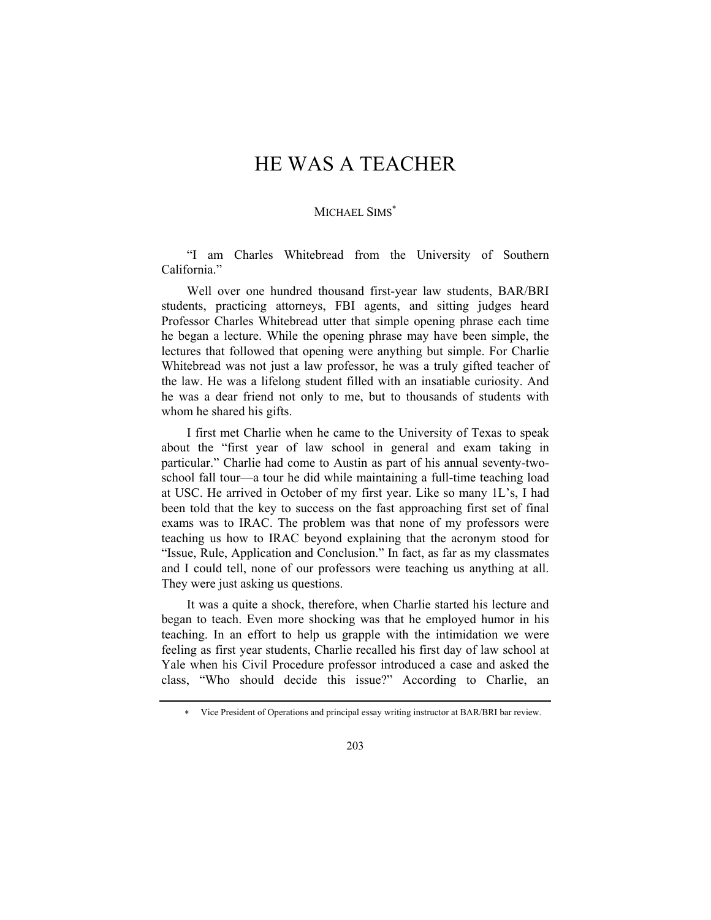# HE WAS A TEACHER

### MICHAEL SIMS<sup>\*</sup>

"I am Charles Whitebread from the University of Southern California."

Well over one hundred thousand first-year law students, BAR/BRI students, practicing attorneys, FBI agents, and sitting judges heard Professor Charles Whitebread utter that simple opening phrase each time he began a lecture. While the opening phrase may have been simple, the lectures that followed that opening were anything but simple. For Charlie Whitebread was not just a law professor, he was a truly gifted teacher of the law. He was a lifelong student filled with an insatiable curiosity. And he was a dear friend not only to me, but to thousands of students with whom he shared his gifts.

I first met Charlie when he came to the University of Texas to speak about the "first year of law school in general and exam taking in particular." Charlie had come to Austin as part of his annual seventy-twoschool fall tour—a tour he did while maintaining a full-time teaching load at USC. He arrived in October of my first year. Like so many 1L's, I had been told that the key to success on the fast approaching first set of final exams was to IRAC. The problem was that none of my professors were teaching us how to IRAC beyond explaining that the acronym stood for "Issue, Rule, Application and Conclusion." In fact, as far as my classmates and I could tell, none of our professors were teaching us anything at all. They were just asking us questions.

It was a quite a shock, therefore, when Charlie started his lecture and began to teach. Even more shocking was that he employed humor in his teaching. In an effort to help us grapple with the intimidation we were feeling as first year students, Charlie recalled his first day of law school at Yale when his Civil Procedure professor introduced a case and asked the class, "Who should decide this issue?" According to Charlie, an

<sup>∗</sup> Vice President of Operations and principal essay writing instructor at BAR/BRI bar review.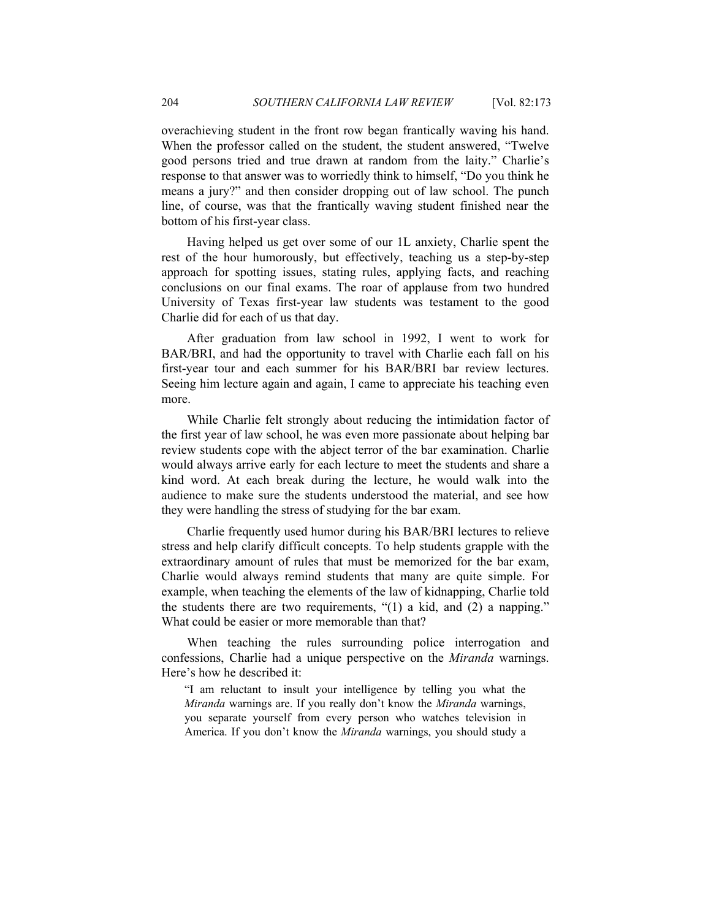overachieving student in the front row began frantically waving his hand. When the professor called on the student, the student answered, "Twelve good persons tried and true drawn at random from the laity." Charlie's response to that answer was to worriedly think to himself, "Do you think he means a jury?" and then consider dropping out of law school. The punch line, of course, was that the frantically waving student finished near the bottom of his first-year class.

Having helped us get over some of our 1L anxiety, Charlie spent the rest of the hour humorously, but effectively, teaching us a step-by-step approach for spotting issues, stating rules, applying facts, and reaching conclusions on our final exams. The roar of applause from two hundred University of Texas first-year law students was testament to the good Charlie did for each of us that day.

After graduation from law school in 1992, I went to work for BAR/BRI, and had the opportunity to travel with Charlie each fall on his first-year tour and each summer for his BAR/BRI bar review lectures. Seeing him lecture again and again, I came to appreciate his teaching even more.

While Charlie felt strongly about reducing the intimidation factor of the first year of law school, he was even more passionate about helping bar review students cope with the abject terror of the bar examination. Charlie would always arrive early for each lecture to meet the students and share a kind word. At each break during the lecture, he would walk into the audience to make sure the students understood the material, and see how they were handling the stress of studying for the bar exam.

Charlie frequently used humor during his BAR/BRI lectures to relieve stress and help clarify difficult concepts. To help students grapple with the extraordinary amount of rules that must be memorized for the bar exam, Charlie would always remind students that many are quite simple. For example, when teaching the elements of the law of kidnapping, Charlie told the students there are two requirements, "(1) a kid, and (2) a napping." What could be easier or more memorable than that?

When teaching the rules surrounding police interrogation and confessions, Charlie had a unique perspective on the *Miranda* warnings. Here's how he described it:

"I am reluctant to insult your intelligence by telling you what the *Miranda* warnings are. If you really don't know the *Miranda* warnings, you separate yourself from every person who watches television in America. If you don't know the *Miranda* warnings, you should study a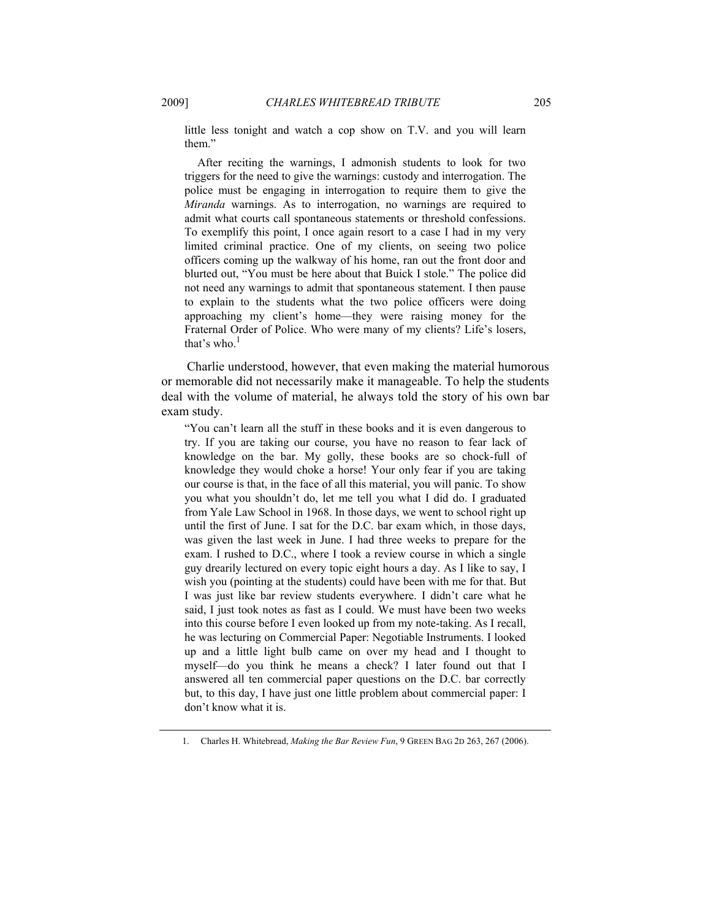little less tonight and watch a cop show on T.V. and you will learn them."

 After reciting the warnings, I admonish students to look for two triggers for the need to give the warnings: custody and interrogation. The police must be engaging in interrogation to require them to give the *Miranda* warnings. As to interrogation, no warnings are required to admit what courts call spontaneous statements or threshold confessions. To exemplify this point, I once again resort to a case I had in my very limited criminal practice. One of my clients, on seeing two police officers coming up the walkway of his home, ran out the front door and blurted out, "You must be here about that Buick I stole." The police did not need any warnings to admit that spontaneous statement. I then pause to explain to the students what the two police officers were doing approaching my client's home—they were raising money for the Fraternal Order of Police. Who were many of my clients? Life's losers, that's who. $<sup>1</sup>$ </sup>

Charlie understood, however, that even making the material humorous or memorable did not necessarily make it manageable. To help the students deal with the volume of material, he always told the story of his own bar exam study.

"You can't learn all the stuff in these books and it is even dangerous to try. If you are taking our course, you have no reason to fear lack of knowledge on the bar. My golly, these books are so chock-full of knowledge they would choke a horse! Your only fear if you are taking our course is that, in the face of all this material, you will panic. To show you what you shouldn't do, let me tell you what I did do. I graduated from Yale Law School in 1968. In those days, we went to school right up until the first of June. I sat for the D.C. bar exam which, in those days, was given the last week in June. I had three weeks to prepare for the exam. I rushed to D.C., where I took a review course in which a single guy drearily lectured on every topic eight hours a day. As I like to say, I wish you (pointing at the students) could have been with me for that. But I was just like bar review students everywhere. I didn't care what he said, I just took notes as fast as I could. We must have been two weeks into this course before I even looked up from my note-taking. As I recall, he was lecturing on Commercial Paper: Negotiable Instruments. I looked up and a little light bulb came on over my head and I thought to myself—do you think he means a check? I later found out that I answered all ten commercial paper questions on the D.C. bar correctly but, to this day, I have just one little problem about commercial paper: I don't know what it is.

 <sup>1.</sup> Charles H. Whitebread, *Making the Bar Review Fun*, 9 GREEN BAG 2D 263, 267 (2006).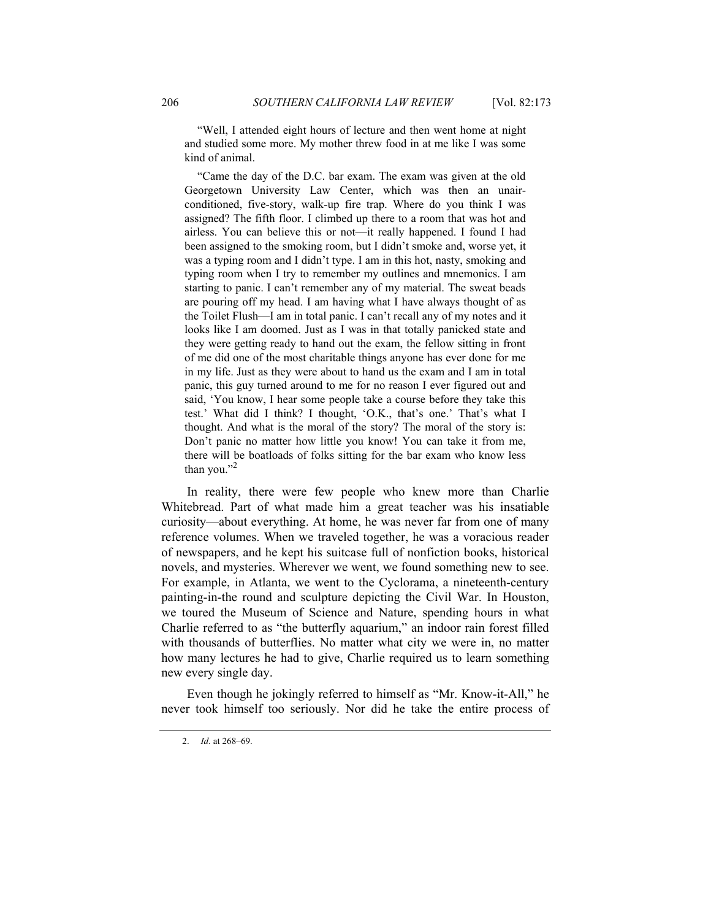"Well, I attended eight hours of lecture and then went home at night and studied some more. My mother threw food in at me like I was some kind of animal.

 "Came the day of the D.C. bar exam. The exam was given at the old Georgetown University Law Center, which was then an unairconditioned, five-story, walk-up fire trap. Where do you think I was assigned? The fifth floor. I climbed up there to a room that was hot and airless. You can believe this or not—it really happened. I found I had been assigned to the smoking room, but I didn't smoke and, worse yet, it was a typing room and I didn't type. I am in this hot, nasty, smoking and typing room when I try to remember my outlines and mnemonics. I am starting to panic. I can't remember any of my material. The sweat beads are pouring off my head. I am having what I have always thought of as the Toilet Flush—I am in total panic. I can't recall any of my notes and it looks like I am doomed. Just as I was in that totally panicked state and they were getting ready to hand out the exam, the fellow sitting in front of me did one of the most charitable things anyone has ever done for me in my life. Just as they were about to hand us the exam and I am in total panic, this guy turned around to me for no reason I ever figured out and said, 'You know, I hear some people take a course before they take this test.' What did I think? I thought, 'O.K., that's one.' That's what I thought. And what is the moral of the story? The moral of the story is: Don't panic no matter how little you know! You can take it from me, there will be boatloads of folks sitting for the bar exam who know less than you." $^2$ 

In reality, there were few people who knew more than Charlie Whitebread. Part of what made him a great teacher was his insatiable curiosity—about everything. At home, he was never far from one of many reference volumes. When we traveled together, he was a voracious reader of newspapers, and he kept his suitcase full of nonfiction books, historical novels, and mysteries. Wherever we went, we found something new to see. For example, in Atlanta, we went to the Cyclorama, a nineteenth-century painting-in-the round and sculpture depicting the Civil War. In Houston, we toured the Museum of Science and Nature, spending hours in what Charlie referred to as "the butterfly aquarium," an indoor rain forest filled with thousands of butterflies. No matter what city we were in, no matter how many lectures he had to give, Charlie required us to learn something new every single day.

Even though he jokingly referred to himself as "Mr. Know-it-All," he never took himself too seriously. Nor did he take the entire process of

<sup>2.</sup> *Id.* at 268–69.